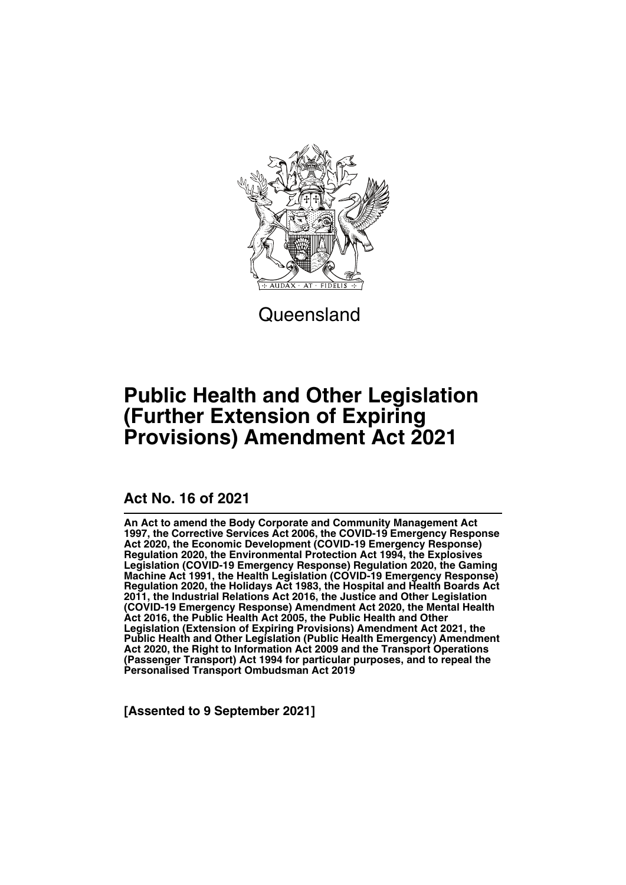

**Queensland** 

# **Public Health and Other Legislation (Further Extension of Expiring Provisions) Amendment Act 2021**

## **Act No. 16 of 2021**

**An Act to amend the Body Corporate and Community Management Act 1997, the Corrective Services Act 2006, the COVID-19 Emergency Response Act 2020, the Economic Development (COVID-19 Emergency Response) Regulation 2020, the Environmental Protection Act 1994, the Explosives Legislation (COVID-19 Emergency Response) Regulation 2020, the Gaming Machine Act 1991, the Health Legislation (COVID-19 Emergency Response) Regulation 2020, the Holidays Act 1983, the Hospital and Health Boards Act 2011, the Industrial Relations Act 2016, the Justice and Other Legislation (COVID-19 Emergency Response) Amendment Act 2020, the Mental Health Act 2016, the Public Health Act 2005, the Public Health and Other Legislation (Extension of Expiring Provisions) Amendment Act 2021, the Public Health and Other Legislation (Public Health Emergency) Amendment Act 2020, the Right to Information Act 2009 and the Transport Operations (Passenger Transport) Act 1994 for particular purposes, and to repeal the Personalised Transport Ombudsman Act 2019**

**[Assented to 9 September 2021]**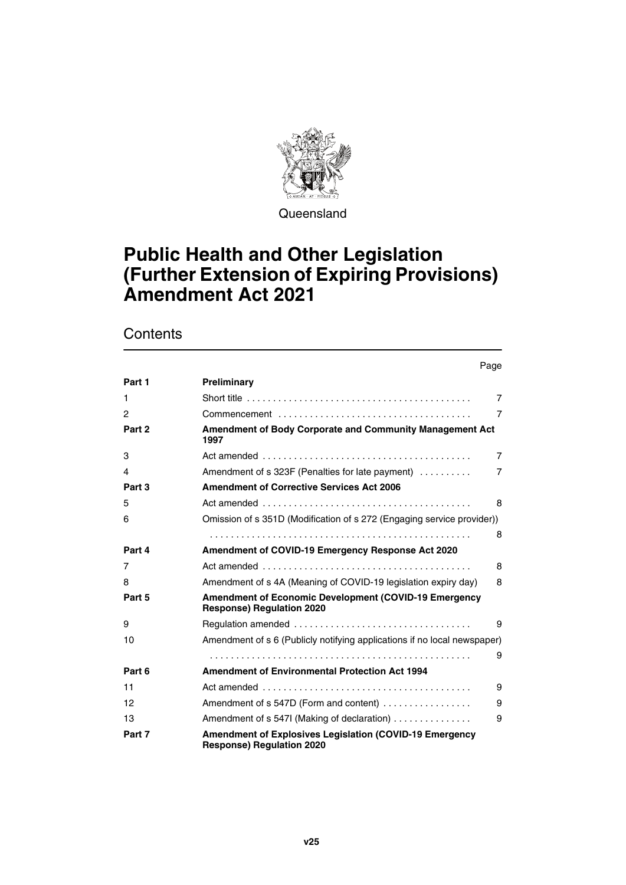

**Queensland** 

# **Public Health and Other Legislation (Further Extension of Expiring Provisions) Amendment Act 2021**

|              | Page                                                                                                |                |
|--------------|-----------------------------------------------------------------------------------------------------|----------------|
| Part 1       | Preliminary                                                                                         |                |
| 1            |                                                                                                     | $\overline{7}$ |
| $\mathbf{2}$ |                                                                                                     | 7              |
| Part 2       | Amendment of Body Corporate and Community Management Act<br>1997                                    |                |
| 3            |                                                                                                     | $\overline{7}$ |
| 4            | Amendment of s 323F (Penalties for late payment)                                                    | $\overline{7}$ |
| Part 3       | <b>Amendment of Corrective Services Act 2006</b>                                                    |                |
| 5            |                                                                                                     | 8              |
| 6            | Omission of s 351D (Modification of s 272 (Engaging service provider))                              |                |
|              |                                                                                                     | 8              |
| Part 4       | Amendment of COVID-19 Emergency Response Act 2020                                                   |                |
| 7            |                                                                                                     | 8              |
| 8            | Amendment of s 4A (Meaning of COVID-19 legislation expiry day)                                      | 8              |
| Part 5       | <b>Amendment of Economic Development (COVID-19 Emergency</b><br><b>Response) Regulation 2020</b>    |                |
| 9            |                                                                                                     | 9              |
| 10           | Amendment of s 6 (Publicly notifying applications if no local newspaper)                            |                |
|              |                                                                                                     | 9              |
| Part 6       | <b>Amendment of Environmental Protection Act 1994</b>                                               |                |
| 11           |                                                                                                     | 9              |
| 12           | Amendment of s 547D (Form and content)                                                              | 9              |
| 13           | Amendment of s 547I (Making of declaration)                                                         | 9              |
| Part 7       | <b>Amendment of Explosives Legislation (COVID-19 Emergency)</b><br><b>Response) Regulation 2020</b> |                |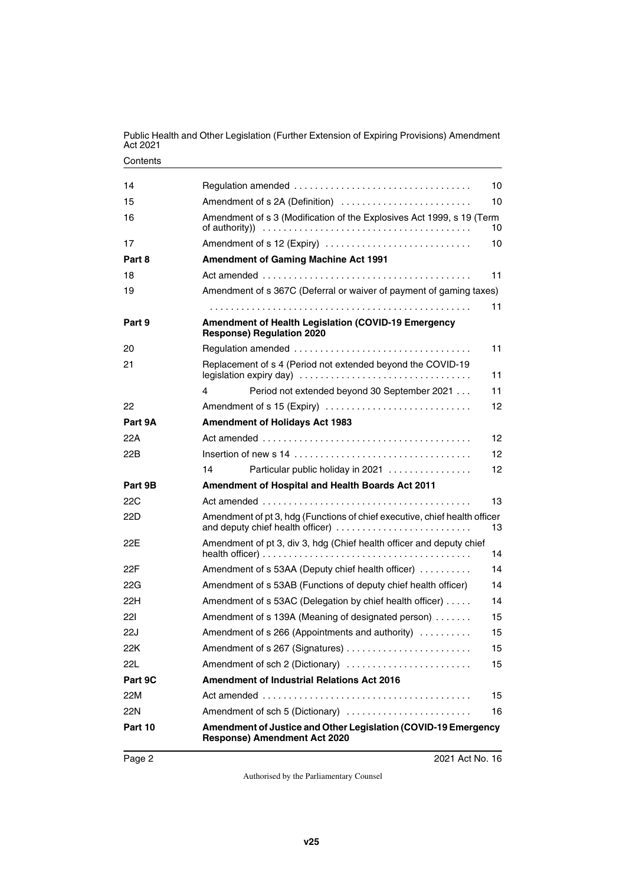| 14      |                                                                                                                | 10               |
|---------|----------------------------------------------------------------------------------------------------------------|------------------|
| 15      | Amendment of s 2A (Definition)                                                                                 | 10 <sup>10</sup> |
| 16      | Amendment of s 3 (Modification of the Explosives Act 1999, s 19 (Term                                          | 10 <sup>10</sup> |
| 17      | Amendment of s 12 (Expiry)                                                                                     | 10               |
| Part 8  | <b>Amendment of Gaming Machine Act 1991</b>                                                                    |                  |
| 18      |                                                                                                                | 11               |
| 19      | Amendment of s 367C (Deferral or waiver of payment of gaming taxes)                                            |                  |
|         |                                                                                                                | 11               |
| Part 9  | <b>Amendment of Health Legislation (COVID-19 Emergency</b><br><b>Response) Regulation 2020</b>                 |                  |
| 20      |                                                                                                                | 11               |
| 21      | Replacement of s 4 (Period not extended beyond the COVID-19                                                    | 11               |
|         | Period not extended beyond 30 September 2021<br>4<br>11                                                        |                  |
| 22      | Amendment of s 15 (Expiry)<br>12                                                                               |                  |
| Part 9A | <b>Amendment of Holidays Act 1983</b>                                                                          |                  |
| 22A     |                                                                                                                | 12               |
| 22B     |                                                                                                                | 12               |
|         | 14<br>Particular public holiday in 2021                                                                        | 12               |
| Part 9B | Amendment of Hospital and Health Boards Act 2011                                                               |                  |
| 22C     |                                                                                                                | 13               |
| 22D     | Amendment of pt 3, hdg (Functions of chief executive, chief health officer<br>and deputy chief health officer) | 13               |
| 22E     | Amendment of pt 3, div 3, hdg (Chief health officer and deputy chief                                           | 14               |
| 22F     | Amendment of s 53AA (Deputy chief health officer)                                                              | 14               |
| 22G     | Amendment of s 53AB (Functions of deputy chief health officer)                                                 | 14               |
| 22H     | Amendment of s 53AC (Delegation by chief health officer)                                                       | 14               |
| 221     | Amendment of s 139A (Meaning of designated person)                                                             | 15               |
| 22J     | Amendment of s 266 (Appointments and authority)<br>15                                                          |                  |
| 22K     |                                                                                                                | 15               |
| 22L     | Amendment of sch 2 (Dictionary)<br>15                                                                          |                  |
| Part 9C | <b>Amendment of Industrial Relations Act 2016</b>                                                              |                  |
| 22M     |                                                                                                                | 15               |
| 22N     | Amendment of sch 5 (Dictionary)                                                                                | 16               |
| Part 10 | Amendment of Justice and Other Legislation (COVID-19 Emergency<br><b>Response) Amendment Act 2020</b>          |                  |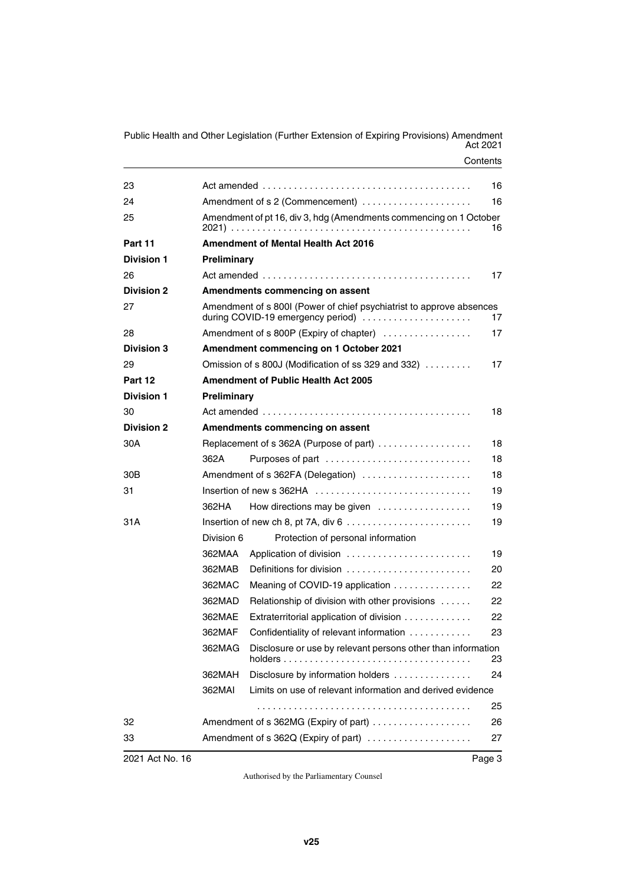| 2021 Act No. 16   |                                                                                                                 |                                                                     | Page 3 |  |
|-------------------|-----------------------------------------------------------------------------------------------------------------|---------------------------------------------------------------------|--------|--|
| 33                |                                                                                                                 | Amendment of s 362Q (Expiry of part)                                | 27     |  |
| 32                |                                                                                                                 | Amendment of s 362MG (Expiry of part)                               | 26     |  |
|                   |                                                                                                                 |                                                                     | 25     |  |
|                   | 362MAI                                                                                                          | Limits on use of relevant information and derived evidence          |        |  |
|                   | 362MAH                                                                                                          | Disclosure by information holders                                   | 24     |  |
|                   | 362MAG                                                                                                          | Disclosure or use by relevant persons other than information        | 23     |  |
|                   | 362MAF                                                                                                          | Confidentiality of relevant information                             | 23     |  |
|                   | 362MAE                                                                                                          | Extraterritorial application of division                            | 22     |  |
|                   | 362MAD                                                                                                          | Relationship of division with other provisions                      | 22     |  |
|                   | 362MAC                                                                                                          | Meaning of COVID-19 application                                     | 22     |  |
|                   | 362MAB                                                                                                          | Definitions for division                                            | 20     |  |
|                   | 362MAA                                                                                                          | Application of division                                             | 19     |  |
|                   | Division 6                                                                                                      | Protection of personal information                                  |        |  |
| 31 A              |                                                                                                                 |                                                                     | 19     |  |
|                   | 362HA                                                                                                           | How directions may be given                                         | 19     |  |
| 31                | 19<br>Insertion of new s 362HA                                                                                  |                                                                     |        |  |
| 30B               |                                                                                                                 | Amendment of s 362FA (Delegation)                                   | 18     |  |
|                   | 362A                                                                                                            | Purposes of part                                                    | 18     |  |
| 30A               | Replacement of s 362A (Purpose of part)<br>18                                                                   |                                                                     |        |  |
| <b>Division 2</b> | Amendments commencing on assent                                                                                 |                                                                     |        |  |
| 30                |                                                                                                                 |                                                                     | 18     |  |
| <b>Division 1</b> | Preliminary                                                                                                     |                                                                     |        |  |
| Part 12           | <b>Amendment of Public Health Act 2005</b>                                                                      |                                                                     |        |  |
| 29                |                                                                                                                 | Omission of s 800J (Modification of ss 329 and 332) $\ldots \ldots$ | 17     |  |
| <b>Division 3</b> |                                                                                                                 | Amendment commencing on 1 October 2021                              |        |  |
| 28                | Amendment of s 800P (Expiry of chapter)<br>17                                                                   |                                                                     |        |  |
| 27                | Amendment of s 800I (Power of chief psychiatrist to approve absences<br>during COVID-19 emergency period)<br>17 |                                                                     |        |  |
| <b>Division 2</b> | Amendments commencing on assent                                                                                 |                                                                     |        |  |
| 26                |                                                                                                                 |                                                                     | 17     |  |
| <b>Division 1</b> | Preliminary                                                                                                     |                                                                     |        |  |
| Part 11           |                                                                                                                 | <b>Amendment of Mental Health Act 2016</b>                          |        |  |
| 25                |                                                                                                                 | Amendment of pt 16, div 3, hdg (Amendments commencing on 1 October  | 16     |  |
| 24                | 16                                                                                                              |                                                                     |        |  |
| 23                |                                                                                                                 |                                                                     | 16     |  |
|                   |                                                                                                                 |                                                                     |        |  |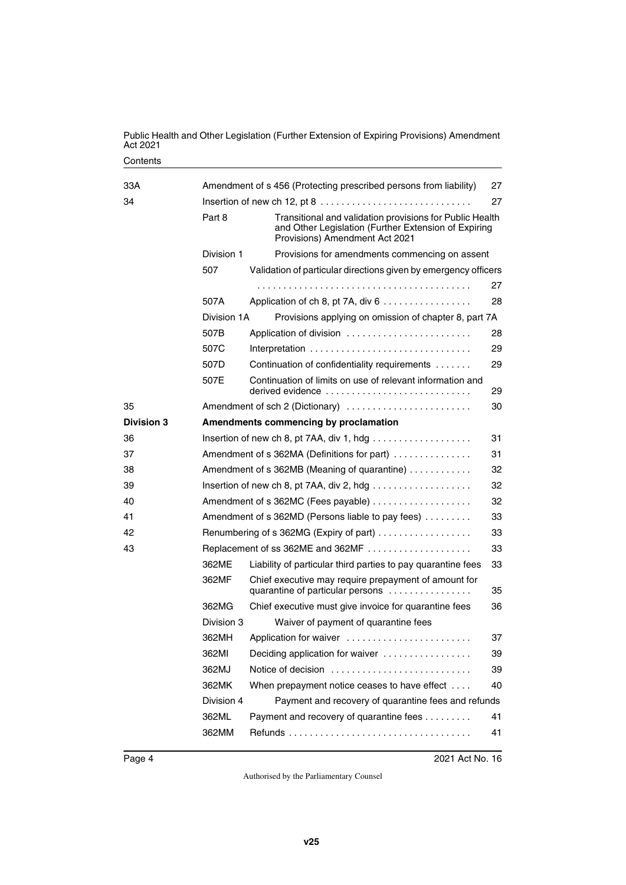| 33A               |                                                                                               | Amendment of s 456 (Protecting prescribed persons from liability)                                                                              | 27                                                                                                               |
|-------------------|-----------------------------------------------------------------------------------------------|------------------------------------------------------------------------------------------------------------------------------------------------|------------------------------------------------------------------------------------------------------------------|
| 34                | Insertion of new ch 12, pt $8 \ldots \ldots \ldots \ldots \ldots \ldots \ldots \ldots \ldots$ |                                                                                                                                                |                                                                                                                  |
|                   | Part 8                                                                                        | Provisions) Amendment Act 2021                                                                                                                 | Transitional and validation provisions for Public Health<br>and Other Legislation (Further Extension of Expiring |
|                   | Division 1                                                                                    | Provisions for amendments commencing on assent                                                                                                 |                                                                                                                  |
|                   | 507                                                                                           | Validation of particular directions given by emergency officers                                                                                |                                                                                                                  |
|                   |                                                                                               |                                                                                                                                                | 27                                                                                                               |
|                   | 507A                                                                                          | Application of ch 8, pt 7A, div $6 \ldots \ldots \ldots \ldots$                                                                                | 28                                                                                                               |
|                   | Division 1A                                                                                   | Provisions applying on omission of chapter 8, part 7A                                                                                          |                                                                                                                  |
|                   | 507B                                                                                          | Application of division                                                                                                                        | 28                                                                                                               |
|                   | 507C                                                                                          |                                                                                                                                                | 29                                                                                                               |
|                   | 507D                                                                                          | Continuation of confidentiality requirements                                                                                                   | 29                                                                                                               |
|                   | 507E                                                                                          | Continuation of limits on use of relevant information and<br>derived evidence $\ldots, \ldots, \ldots, \ldots, \ldots, \ldots, \ldots, \ldots$ | 29                                                                                                               |
| 35                |                                                                                               | Amendment of sch 2 (Dictionary)                                                                                                                | 30                                                                                                               |
| <b>Division 3</b> |                                                                                               | Amendments commencing by proclamation                                                                                                          |                                                                                                                  |
| 36                |                                                                                               |                                                                                                                                                | 31                                                                                                               |
| 37                |                                                                                               | Amendment of s 362MA (Definitions for part)                                                                                                    | 31                                                                                                               |
| 38                |                                                                                               | Amendment of s 362MB (Meaning of quarantine)                                                                                                   | 32                                                                                                               |
| 39                |                                                                                               |                                                                                                                                                | 32                                                                                                               |
| 40                |                                                                                               |                                                                                                                                                | 32                                                                                                               |
| 41                |                                                                                               | Amendment of s 362MD (Persons liable to pay fees)                                                                                              | 33                                                                                                               |
| 42                | 33<br>Renumbering of s 362MG (Expiry of part)                                                 |                                                                                                                                                |                                                                                                                  |
| 43                |                                                                                               | Replacement of ss 362ME and 362MF                                                                                                              | 33                                                                                                               |
|                   | 362ME                                                                                         | Liability of particular third parties to pay quarantine fees                                                                                   | 33                                                                                                               |
|                   | 362MF                                                                                         | Chief executive may require prepayment of amount for<br>quarantine of particular persons                                                       | 35                                                                                                               |
|                   | 362MG                                                                                         | Chief executive must give invoice for quarantine fees                                                                                          | 36                                                                                                               |
|                   | Division 3                                                                                    | Waiver of payment of quarantine fees                                                                                                           |                                                                                                                  |
|                   | 362MH                                                                                         | Application for waiver                                                                                                                         | 37                                                                                                               |
|                   | 362MI                                                                                         | Deciding application for waiver                                                                                                                | 39                                                                                                               |
|                   | 362MJ                                                                                         | Notice of decision                                                                                                                             | 39                                                                                                               |
|                   | 362MK                                                                                         | When prepayment notice ceases to have effect                                                                                                   | 40                                                                                                               |
|                   | Division 4                                                                                    | Payment and recovery of quarantine fees and refunds                                                                                            |                                                                                                                  |
|                   | 362ML                                                                                         | Payment and recovery of quarantine fees                                                                                                        | 41                                                                                                               |
|                   | 362MM                                                                                         |                                                                                                                                                | 41                                                                                                               |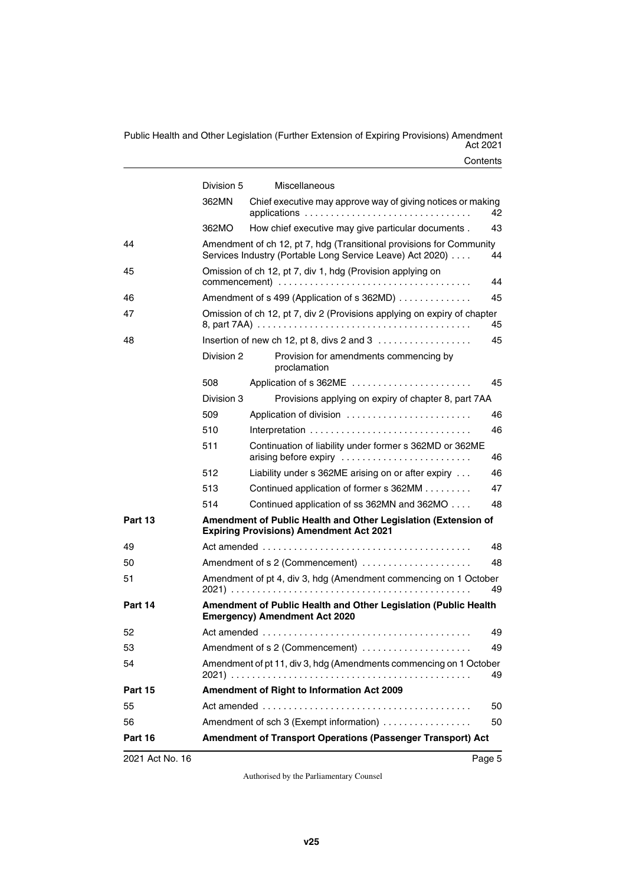|                | Division 5                                                       | Miscellaneous                                                                                                                     |    |
|----------------|------------------------------------------------------------------|-----------------------------------------------------------------------------------------------------------------------------------|----|
|                | 362MN                                                            | Chief executive may approve way of giving notices or making<br>applications                                                       | 42 |
|                | 362MO                                                            | How chief executive may give particular documents.                                                                                | 43 |
| 44             |                                                                  | Amendment of ch 12, pt 7, hdg (Transitional provisions for Community<br>Services Industry (Portable Long Service Leave) Act 2020) | 44 |
| 45             | Omission of ch 12, pt 7, div 1, hdg (Provision applying on<br>44 |                                                                                                                                   |    |
| 46             |                                                                  | Amendment of s 499 (Application of s 362MD)                                                                                       | 45 |
| 47             |                                                                  | Omission of ch 12, pt 7, div 2 (Provisions applying on expiry of chapter                                                          | 45 |
| 48             |                                                                  | Insertion of new ch 12, pt 8, divs 2 and 3                                                                                        | 45 |
|                | Division 2                                                       | Provision for amendments commencing by<br>proclamation                                                                            |    |
|                | 508                                                              | Application of s 362ME                                                                                                            | 45 |
|                | Division 3                                                       | Provisions applying on expiry of chapter 8, part 7AA                                                                              |    |
|                | 509                                                              | Application of division                                                                                                           | 46 |
|                | 510                                                              |                                                                                                                                   | 46 |
|                | 511                                                              | Continuation of liability under former s 362MD or 362ME<br>arising before expiry                                                  | 46 |
|                | 512                                                              | Liability under s 362ME arising on or after expiry                                                                                | 46 |
|                | 513                                                              | Continued application of former s 362MM                                                                                           | 47 |
|                | 514                                                              | Continued application of ss 362MN and 362MO                                                                                       | 48 |
| Part 13        |                                                                  | Amendment of Public Health and Other Legislation (Extension of<br><b>Expiring Provisions) Amendment Act 2021</b>                  |    |
| 49             |                                                                  |                                                                                                                                   | 48 |
| 50             |                                                                  |                                                                                                                                   | 48 |
| 51             |                                                                  | Amendment of pt 4, div 3, hdg (Amendment commencing on 1 October                                                                  | 49 |
| Part 14        |                                                                  | Amendment of Public Health and Other Legislation (Public Health<br><b>Emergency) Amendment Act 2020</b>                           |    |
| 52             |                                                                  |                                                                                                                                   | 49 |
| 53             |                                                                  | Amendment of s 2 (Commencement)                                                                                                   | 49 |
| 54             |                                                                  | Amendment of pt 11, div 3, hdg (Amendments commencing on 1 October                                                                | 49 |
| Part 15        |                                                                  | Amendment of Right to Information Act 2009                                                                                        |    |
| 55             |                                                                  |                                                                                                                                   | 50 |
| 56             |                                                                  | Amendment of sch 3 (Exempt information)                                                                                           | 50 |
| <b>Part 16</b> |                                                                  | Amendment of Transport Operations (Passenger Transport) Act                                                                       |    |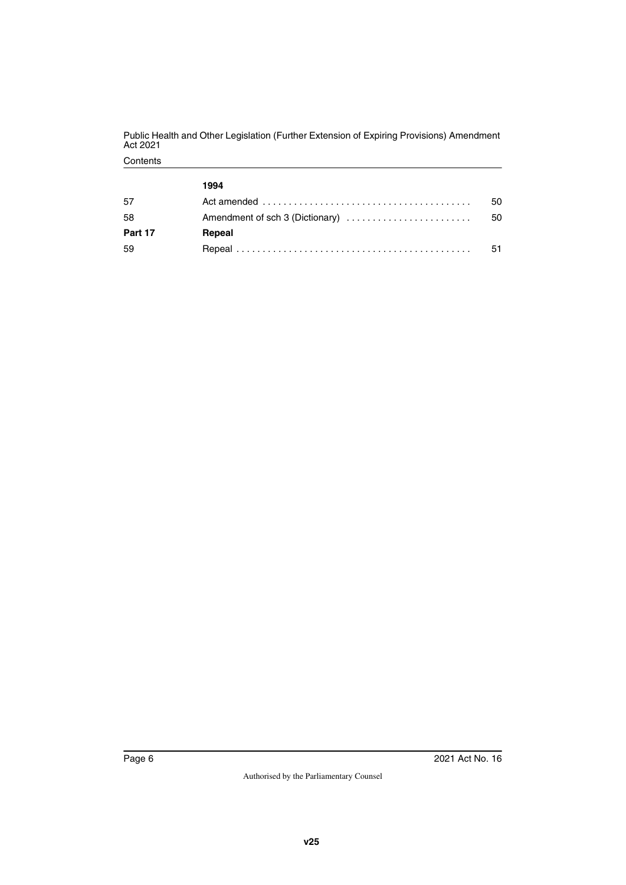|         | 1994                                                                                              |    |
|---------|---------------------------------------------------------------------------------------------------|----|
| 57      | Act amended $\ldots \ldots \ldots \ldots \ldots \ldots \ldots \ldots \ldots \ldots \ldots \ldots$ | 50 |
| 58      | Amendment of sch 3 (Dictionary)                                                                   | 50 |
| Part 17 | Repeal                                                                                            |    |
| 59      |                                                                                                   | 51 |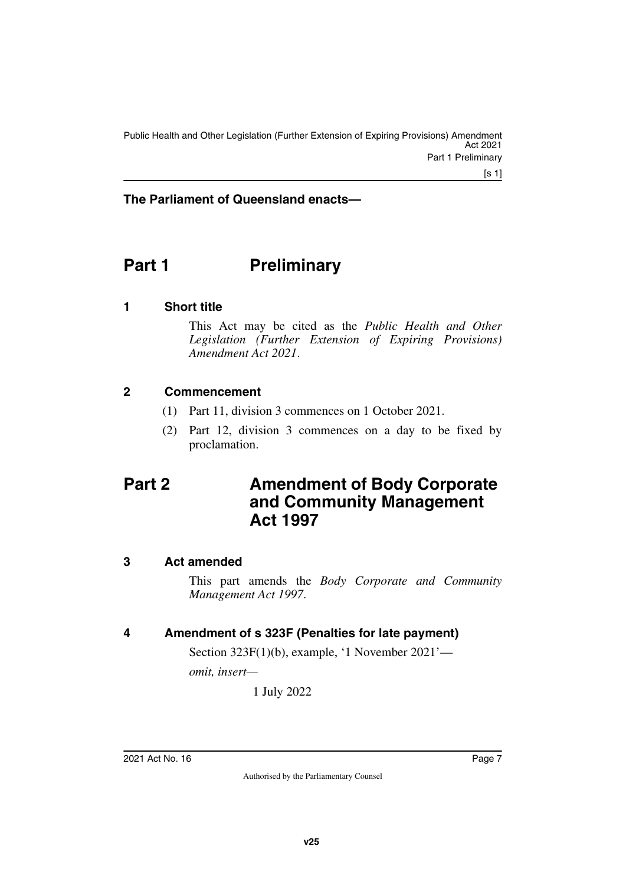#### **The Parliament of Queensland enacts—**

# <span id="page-8-0"></span>**Part 1** Preliminary

#### <span id="page-8-2"></span>**1 Short title**

<span id="page-8-3"></span><span id="page-8-1"></span>This Act may be cited as the *Public Health and Other Legislation (Further Extension of Expiring Provisions) Amendment Act 2021*.

#### <span id="page-8-4"></span>**2 Commencement**

- <span id="page-8-5"></span>(1) Part 11, division 3 commences on 1 October 2021.
- <span id="page-8-7"></span>(2) Part 12, division 3 commences on a day to be fixed by proclamation.

## <span id="page-8-6"></span>**Part 2 Amendment of Body Corporate and Community Management Act 1997**

#### <span id="page-8-8"></span>**3 Act amended**

<span id="page-8-9"></span>This part amends the *Body Corporate and Community Management Act 1997*.

#### <span id="page-8-10"></span>**4 Amendment of s 323F (Penalties for late payment)**

<span id="page-8-11"></span>Section 323F(1)(b), example, '1 November 2021'—

*omit, insert—*

1 July 2022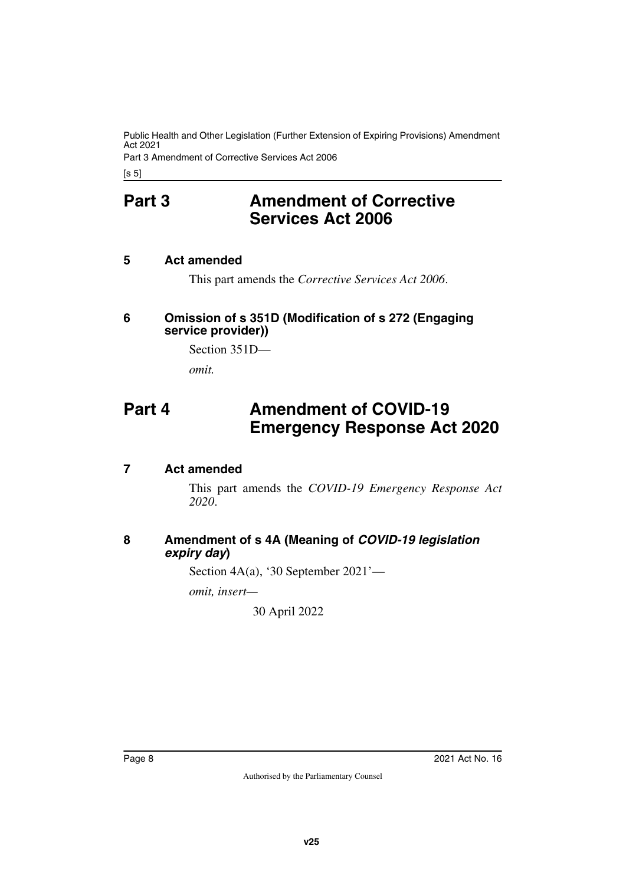Part 3 Amendment of Corrective Services Act 2006

<span id="page-9-0"></span>[s 5]

## **Part 3 Amendment of Corrective Services Act 2006**

#### <span id="page-9-2"></span>**5 Act amended**

<span id="page-9-5"></span><span id="page-9-3"></span><span id="page-9-1"></span>This part amends the *Corrective Services Act 2006*.

#### <span id="page-9-4"></span>**6 Omission of s 351D (Modification of s 272 (Engaging service provider))**

Section 351D—

<span id="page-9-7"></span>*omit.*

# <span id="page-9-6"></span>**Part 4 Amendment of COVID-19 Emergency Response Act 2020**

#### <span id="page-9-8"></span>**7 Act amended**

<span id="page-9-9"></span>This part amends the *COVID-19 Emergency Response Act 2020*.

#### <span id="page-9-11"></span><span id="page-9-10"></span>**8 Amendment of s 4A (Meaning of** *COVID-19 legislation expiry day***)**

Section 4A(a), '30 September 2021'—

*omit, insert—*

30 April 2022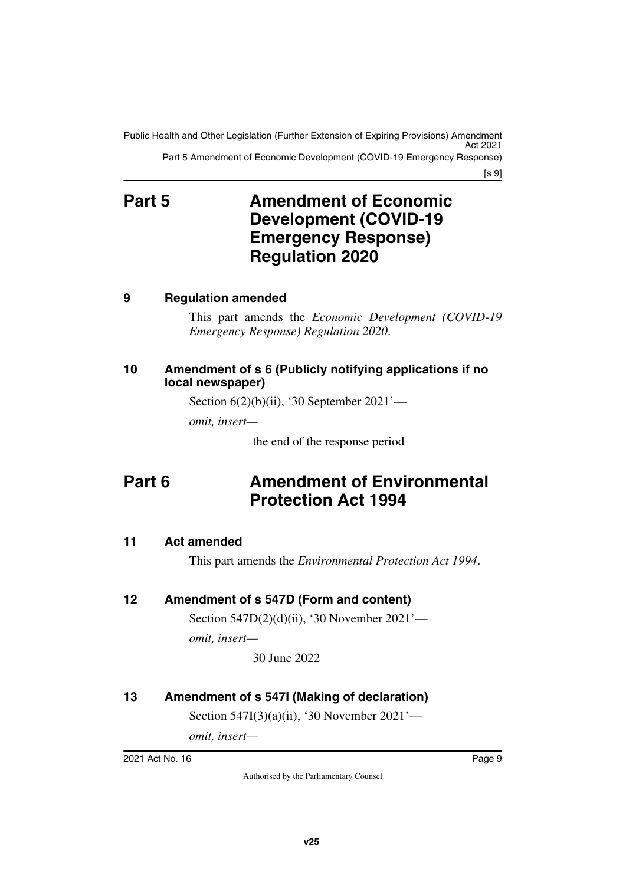Public Health and Other Legislation (Further Extension of Expiring Provisions) Amendment Act 2021 Part 5 Amendment of Economic Development (COVID-19 Emergency Response)

[s 9]

# <span id="page-10-1"></span><span id="page-10-0"></span>**Part 5 Amendment of Economic Development (COVID-19 Emergency Response) Regulation 2020**

#### <span id="page-10-2"></span>**9 Regulation amended**

<span id="page-10-3"></span>This part amends the *Economic Development (COVID-19 Emergency Response) Regulation 2020*.

#### <span id="page-10-5"></span><span id="page-10-4"></span>**10 Amendment of s 6 (Publicly notifying applications if no local newspaper)**

Section  $6(2)(b)(ii)$ , '30 September  $2021'$ —

*omit, insert—*

<span id="page-10-7"></span>the end of the response period

# <span id="page-10-6"></span>**Part 6 Amendment of Environmental Protection Act 1994**

#### <span id="page-10-8"></span>**11 Act amended**

<span id="page-10-11"></span><span id="page-10-9"></span>This part amends the *Environmental Protection Act 1994*.

#### <span id="page-10-10"></span>**12 Amendment of s 547D (Form and content)**

Section 547D(2)(d)(ii), '30 November 2021' *omit, insert—*

30 June 2022

#### <span id="page-10-12"></span>**13 Amendment of s 547I (Making of declaration)**

<span id="page-10-13"></span>Section 547I(3)(a)(ii), '30 November 2021'—

*omit, insert—*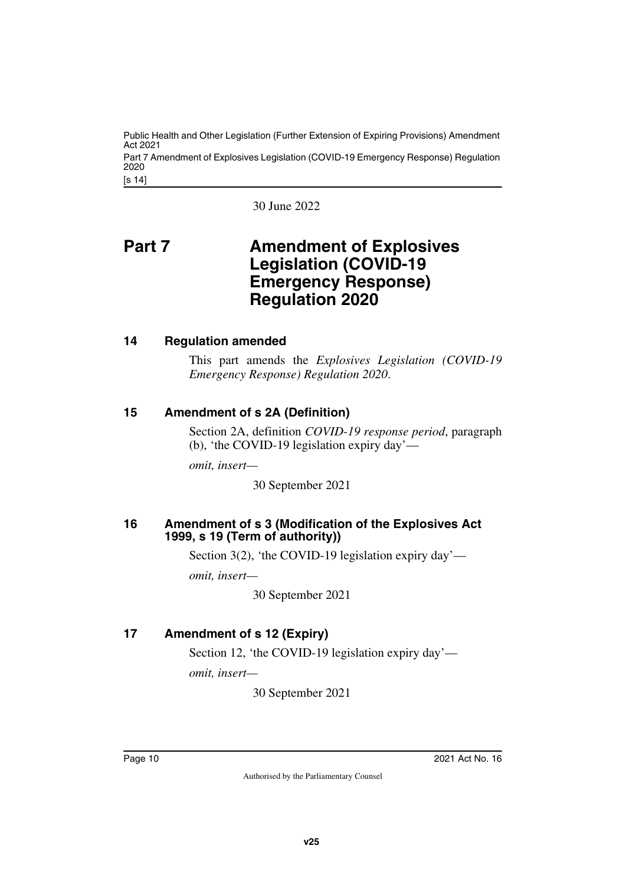[s 14] Public Health and Other Legislation (Further Extension of Expiring Provisions) Amendment Act 2021 Part 7 Amendment of Explosives Legislation (COVID-19 Emergency Response) Regulation 2020

<span id="page-11-1"></span>30 June 2022

## <span id="page-11-0"></span>**Part 7 Amendment of Explosives Legislation (COVID-19 Emergency Response) Regulation 2020**

#### <span id="page-11-2"></span>**14 Regulation amended**

<span id="page-11-3"></span>This part amends the *Explosives Legislation (COVID-19 Emergency Response) Regulation 2020*.

#### <span id="page-11-4"></span>**15 Amendment of s 2A (Definition)**

<span id="page-11-5"></span>Section 2A, definition *COVID-19 response period*, paragraph (b), 'the COVID-19 legislation expiry day'—

*omit, insert—*

30 September 2021

#### <span id="page-11-7"></span><span id="page-11-6"></span>**16 Amendment of s 3 (Modification of the Explosives Act 1999, s 19 (Term of authority))**

Section 3(2), 'the COVID-19 legislation expiry day'—

*omit, insert—*

30 September 2021

#### <span id="page-11-8"></span>**17 Amendment of s 12 (Expiry)**

<span id="page-11-9"></span>Section 12, 'the COVID-19 legislation expiry day' *omit, insert—*

30 September 2021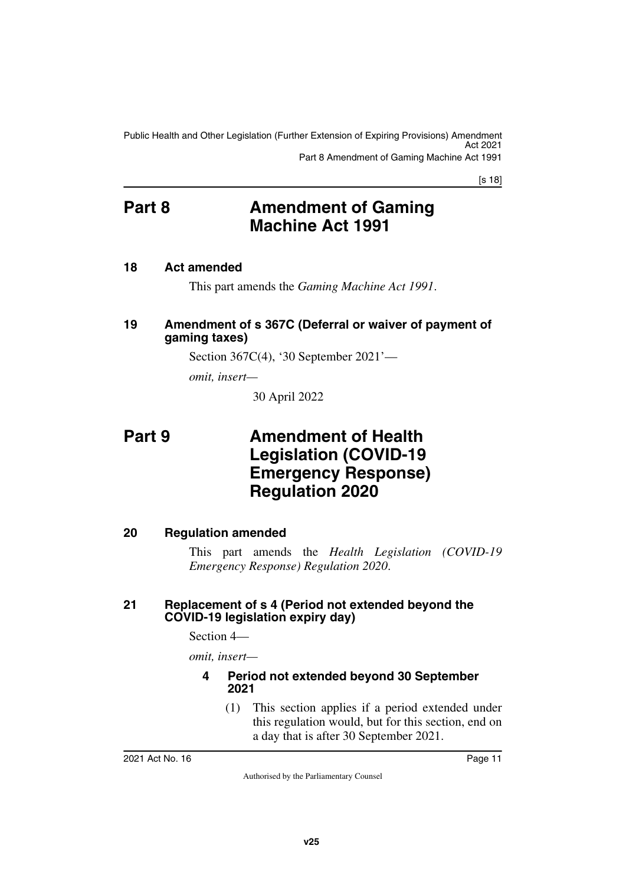[s 18]

## <span id="page-12-0"></span>**Part 8 Amendment of Gaming Machine Act 1991**

#### <span id="page-12-2"></span>**18 Act amended**

<span id="page-12-5"></span><span id="page-12-3"></span><span id="page-12-1"></span>This part amends the *Gaming Machine Act 1991*.

#### <span id="page-12-4"></span>**19 Amendment of s 367C (Deferral or waiver of payment of gaming taxes)**

Section 367C(4), '30 September 2021'—

*omit, insert—*

<span id="page-12-7"></span>30 April 2022

## <span id="page-12-6"></span>**Part 9 Amendment of Health Legislation (COVID-19 Emergency Response) Regulation 2020**

#### <span id="page-12-8"></span>**20 Regulation amended**

<span id="page-12-9"></span>This part amends the *Health Legislation (COVID-19 Emergency Response) Regulation 2020*.

#### <span id="page-12-11"></span><span id="page-12-10"></span>**21 Replacement of s 4 (Period not extended beyond the COVID-19 legislation expiry day)**

Section 4—

*omit, insert—*

#### <span id="page-12-13"></span><span id="page-12-12"></span>**4 Period not extended beyond 30 September 2021**

(1) This section applies if a period extended under this regulation would, but for this section, end on a day that is after 30 September 2021.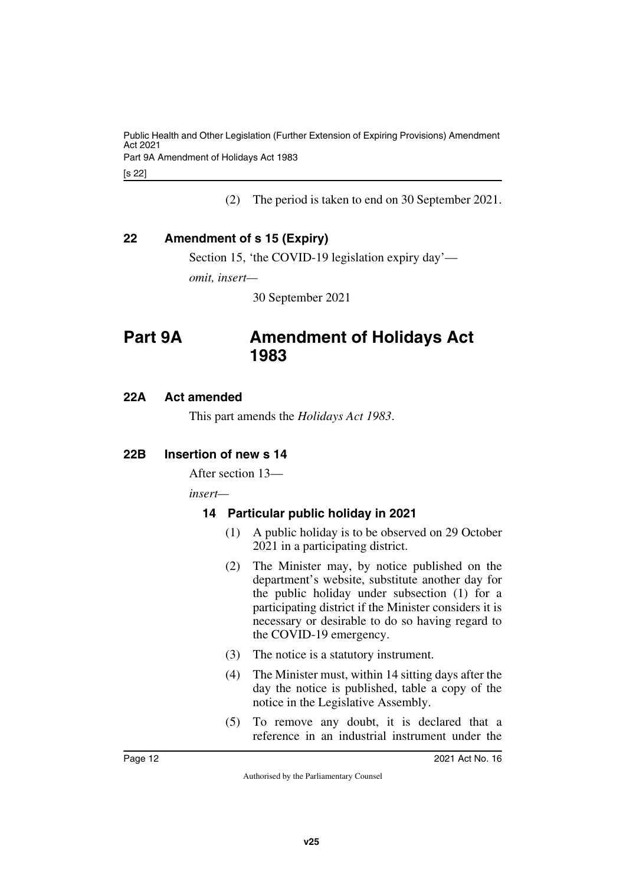Part 9A Amendment of Holidays Act 1983

[s 22]

(2) The period is taken to end on 30 September 2021.

#### <span id="page-13-0"></span>**22 Amendment of s 15 (Expiry)**

<span id="page-13-1"></span>Section 15, 'the COVID-19 legislation expiry day'—

*omit, insert—*

<span id="page-13-3"></span>30 September 2021

## <span id="page-13-2"></span>**Part 9A Amendment of Holidays Act 1983**

#### <span id="page-13-4"></span>**22A Act amended**

<span id="page-13-5"></span>This part amends the *Holidays Act 1983*.

#### <span id="page-13-6"></span>**22B Insertion of new s 14**

<span id="page-13-7"></span>After section 13—

*insert—*

#### <span id="page-13-9"></span><span id="page-13-8"></span>**14 Particular public holiday in 2021**

- (1) A public holiday is to be observed on 29 October 2021 in a participating district.
- (2) The Minister may, by notice published on the department's website, substitute another day for the public holiday under subsection (1) for a participating district if the Minister considers it is necessary or desirable to do so having regard to the COVID-19 emergency.
- (3) The notice is a statutory instrument.
- (4) The Minister must, within 14 sitting days after the day the notice is published, table a copy of the notice in the Legislative Assembly.
- (5) To remove any doubt, it is declared that a reference in an industrial instrument under the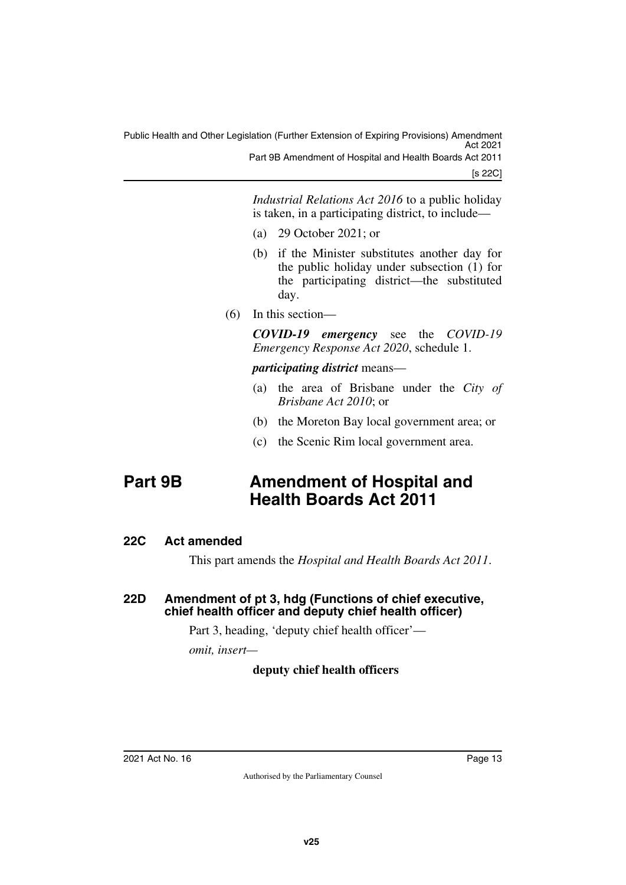Part 9B Amendment of Hospital and Health Boards Act 2011

[s 22C]

*Industrial Relations Act 2016* to a public holiday is taken, in a participating district, to include—

- (a) 29 October 2021; or
- (b) if the Minister substitutes another day for the public holiday under subsection (1) for the participating district—the substituted day.
- (6) In this section—

*COVID-19 emergency* see the *COVID-19 Emergency Response Act 2020*, schedule 1.

*participating district* means—

- (a) the area of Brisbane under the *City of Brisbane Act 2010*; or
- (b) the Moreton Bay local government area; or
- <span id="page-14-1"></span>(c) the Scenic Rim local government area.

## <span id="page-14-0"></span>**Part 9B Amendment of Hospital and Health Boards Act 2011**

#### <span id="page-14-2"></span>**22C Act amended**

<span id="page-14-5"></span><span id="page-14-3"></span>This part amends the *Hospital and Health Boards Act 2011*.

#### <span id="page-14-4"></span>**22D Amendment of pt 3, hdg (Functions of chief executive, chief health officer and deputy chief health officer)**

Part 3, heading, 'deputy chief health officer'—

*omit, insert—*

#### **deputy chief health officers**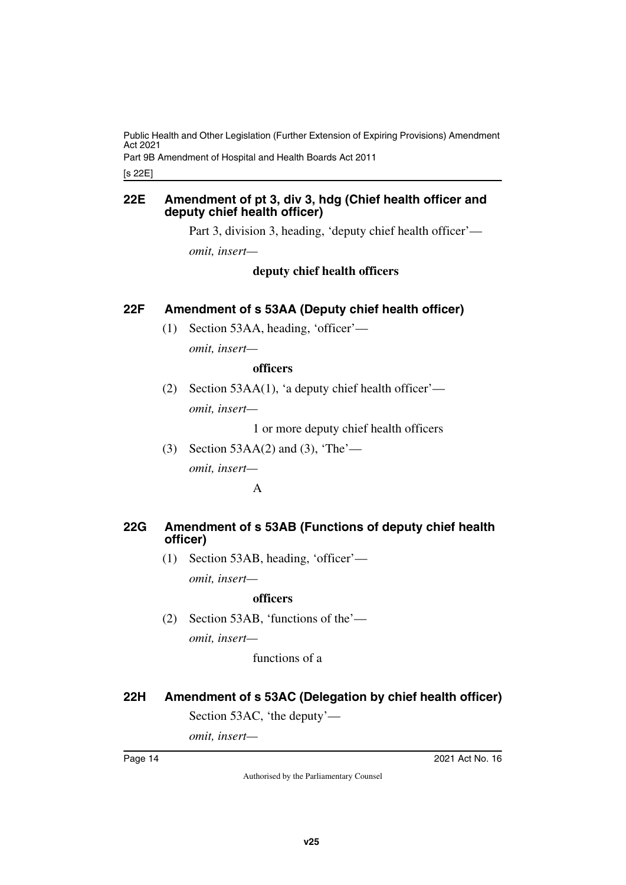Part 9B Amendment of Hospital and Health Boards Act 2011

[s 22E]

#### <span id="page-15-1"></span><span id="page-15-0"></span>**22E Amendment of pt 3, div 3, hdg (Chief health officer and deputy chief health officer)**

Part 3, division 3, heading, 'deputy chief health officer'—

*omit, insert—*

#### **deputy chief health officers**

#### <span id="page-15-2"></span>**22F Amendment of s 53AA (Deputy chief health officer)**

<span id="page-15-3"></span>(1) Section 53AA, heading, 'officer' *omit, insert—*

#### **officers**

(2) Section 53AA(1), 'a deputy chief health officer' *omit, insert—*

1 or more deputy chief health officers

(3) Section 53AA(2) and (3), 'The' *omit, insert—*

A

#### <span id="page-15-5"></span><span id="page-15-4"></span>**22G Amendment of s 53AB (Functions of deputy chief health officer)**

(1) Section 53AB, heading, 'officer' *omit, insert—*

#### **officers**

(2) Section 53AB, 'functions of the' *omit, insert—*

functions of a

#### <span id="page-15-6"></span>**22H Amendment of s 53AC (Delegation by chief health officer)**

<span id="page-15-7"></span>Section 53AC, 'the deputy'—

*omit, insert—*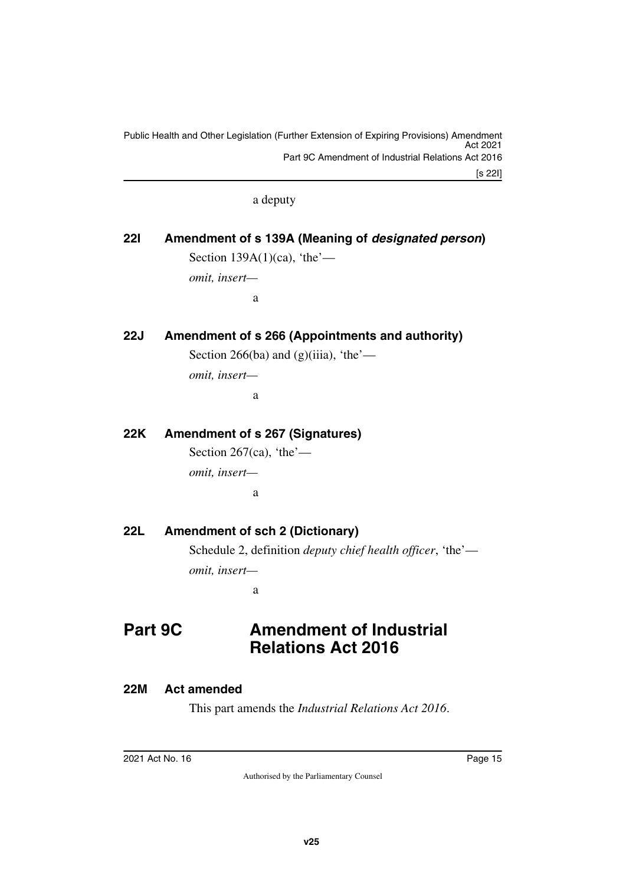a deputy

# <span id="page-16-0"></span>**22I Amendment of s 139A (Meaning of** *designated person***)**

<span id="page-16-1"></span>Section  $139A(1)(ca)$ , 'the'—

*omit, insert—*

a

#### <span id="page-16-2"></span>**22J Amendment of s 266 (Appointments and authority)**

<span id="page-16-3"></span>Section 266(ba) and (g)(iiia), 'the'—

*omit, insert—*

a

#### <span id="page-16-4"></span>**22K Amendment of s 267 (Signatures)**

<span id="page-16-5"></span>Section 267(ca), 'the' *omit, insert* a

#### <span id="page-16-6"></span>**22L Amendment of sch 2 (Dictionary)**

<span id="page-16-7"></span>Schedule 2, definition *deputy chief health officer*, 'the' *omit, insert—*

<span id="page-16-9"></span>a

# <span id="page-16-8"></span>**Part 9C Amendment of Industrial Relations Act 2016**

#### <span id="page-16-10"></span>**22M Act amended**

<span id="page-16-11"></span>This part amends the *Industrial Relations Act 2016*.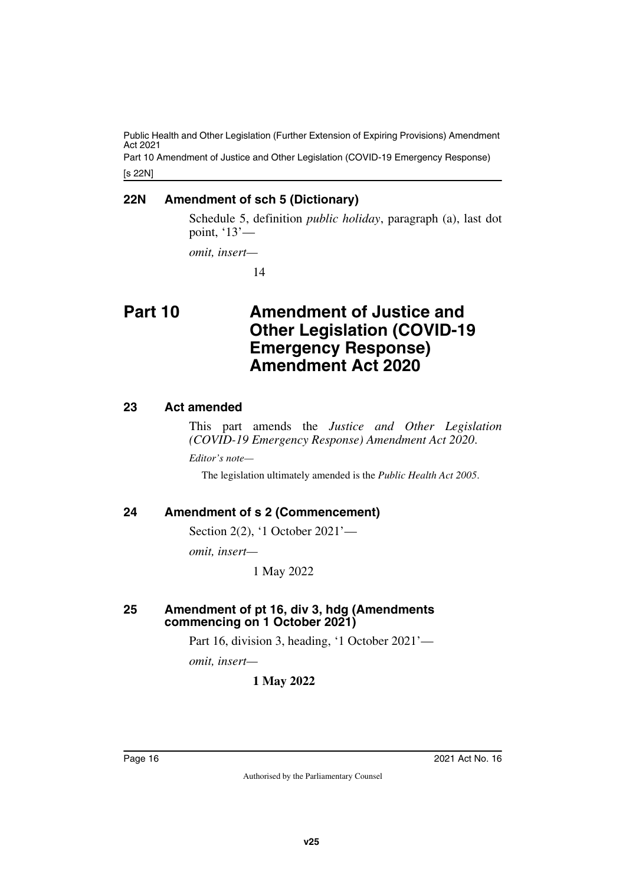[s 22N] Part 10 Amendment of Justice and Other Legislation (COVID-19 Emergency Response)

#### <span id="page-17-0"></span>**22N Amendment of sch 5 (Dictionary)**

<span id="page-17-1"></span>Schedule 5, definition *public holiday*, paragraph (a), last dot point, '13'—

*omit, insert—*

<span id="page-17-3"></span>14

## <span id="page-17-2"></span>**Part 10 Amendment of Justice and Other Legislation (COVID-19 Emergency Response) Amendment Act 2020**

#### <span id="page-17-4"></span>**23 Act amended**

<span id="page-17-5"></span>This part amends the *Justice and Other Legislation (COVID-19 Emergency Response) Amendment Act 2020*.

*Editor's note—*

The legislation ultimately amended is the *Public Health Act 2005*.

#### <span id="page-17-6"></span>**24 Amendment of s 2 (Commencement)**

<span id="page-17-7"></span>Section 2(2), '1 October 2021'—

*omit, insert—*

1 May 2022

#### <span id="page-17-9"></span><span id="page-17-8"></span>**25 Amendment of pt 16, div 3, hdg (Amendments commencing on 1 October 2021)**

Part 16, division 3, heading, '1 October 2021'—

*omit, insert—*

**1 May 2022**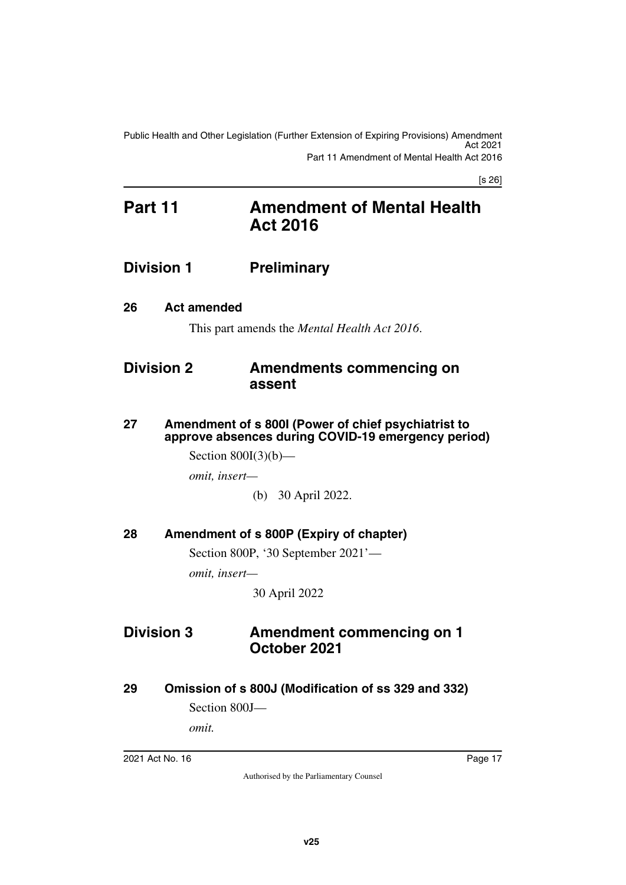[s 26]

## <span id="page-18-1"></span><span id="page-18-0"></span>**Part 11 Amendment of Mental Health Act 2016**

## <span id="page-18-2"></span>**Division 1 Preliminary**

<span id="page-18-4"></span>**26 Act amended**

<span id="page-18-7"></span><span id="page-18-5"></span><span id="page-18-3"></span>This part amends the *Mental Health Act 2016*.

## <span id="page-18-6"></span>**Division 2 Amendments commencing on assent**

<span id="page-18-9"></span><span id="page-18-8"></span>**27 Amendment of s 800I (Power of chief psychiatrist to approve absences during COVID-19 emergency period)**

Section 800I(3)(b)—

*omit, insert—*

(b) 30 April 2022.

<span id="page-18-10"></span>**28 Amendment of s 800P (Expiry of chapter)**

<span id="page-18-11"></span>Section 800P, '30 September 2021'—

*omit, insert—*

<span id="page-18-13"></span>30 April 2022

## <span id="page-18-12"></span>**Division 3 Amendment commencing on 1 October 2021**

<span id="page-18-14"></span>**29 Omission of s 800J (Modification of ss 329 and 332)**

<span id="page-18-15"></span>Section 800J—

*omit.*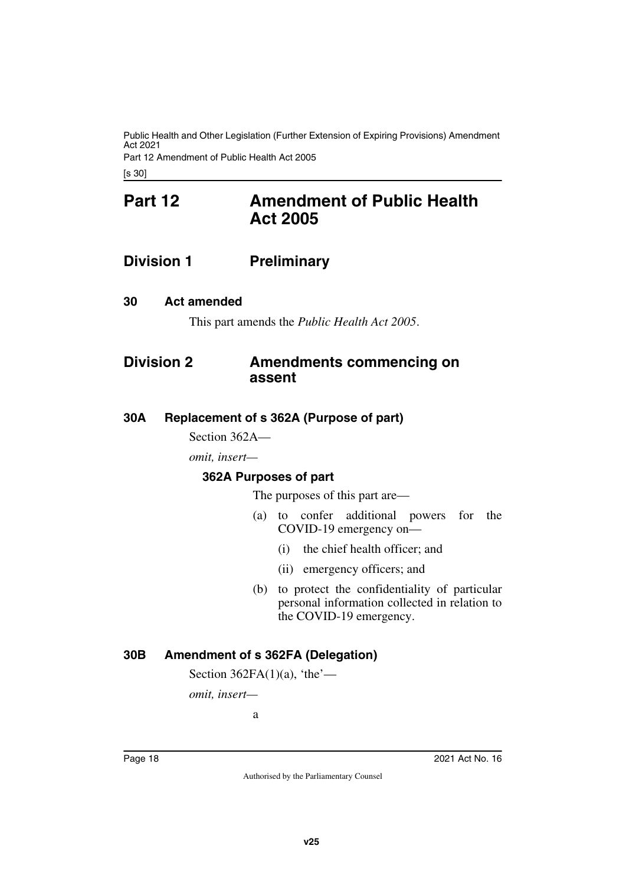Part 12 Amendment of Public Health Act 2005

<span id="page-19-1"></span><span id="page-19-0"></span>[s 30]

## **Part 12 Amendment of Public Health Act 2005**

## <span id="page-19-2"></span>**Division 1 Preliminary**

#### <span id="page-19-4"></span>**30 Act amended**

<span id="page-19-7"></span><span id="page-19-5"></span><span id="page-19-3"></span>This part amends the *Public Health Act 2005*.

### <span id="page-19-6"></span>**Division 2 Amendments commencing on assent**

#### <span id="page-19-8"></span>**30A Replacement of s 362A (Purpose of part)**

<span id="page-19-9"></span>Section 362A—

*omit, insert—*

#### <span id="page-19-10"></span>**362A Purposes of part**

<span id="page-19-11"></span>The purposes of this part are—

- (a) to confer additional powers for the COVID-19 emergency on—
	- (i) the chief health officer; and
	- (ii) emergency officers; and
- (b) to protect the confidentiality of particular personal information collected in relation to the COVID-19 emergency.

#### <span id="page-19-12"></span>**30B Amendment of s 362FA (Delegation)**

<span id="page-19-13"></span>Section  $362FA(1)(a)$ , 'the'—

*omit, insert—*

a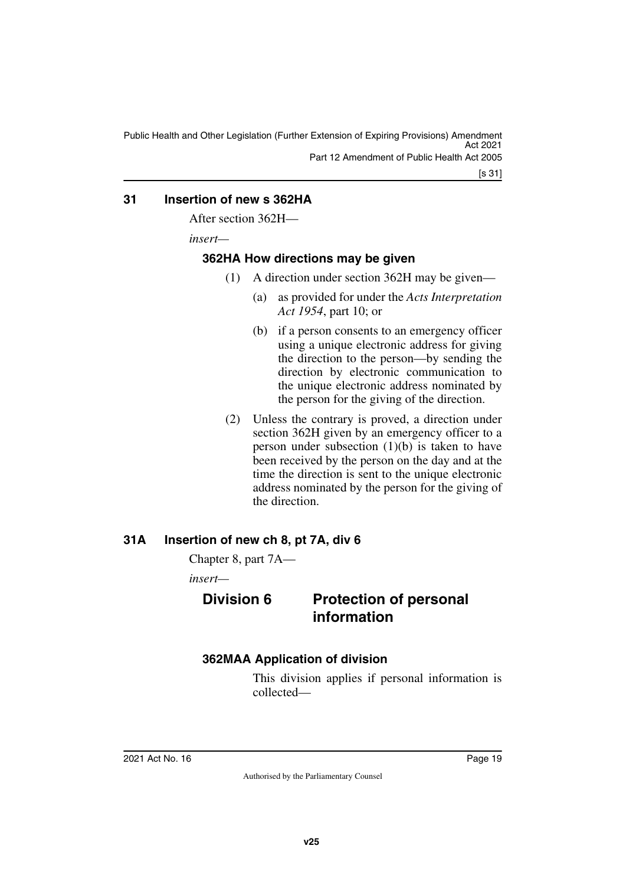Public Health and Other Legislation (Further Extension of Expiring Provisions) Amendment Act 2021 Part 12 Amendment of Public Health Act 2005

#### <span id="page-20-0"></span>**31 Insertion of new s 362HA**

<span id="page-20-1"></span>After section 362H—

*insert—*

#### <span id="page-20-2"></span>**362HA How directions may be given**

- <span id="page-20-3"></span>(1) A direction under section 362H may be given—
	- (a) as provided for under the *Acts Interpretation Act 1954*, part 10; or
	- (b) if a person consents to an emergency officer using a unique electronic address for giving the direction to the person—by sending the direction by electronic communication to the unique electronic address nominated by the person for the giving of the direction.
- (2) Unless the contrary is proved, a direction under section 362H given by an emergency officer to a person under subsection  $(1)(b)$  is taken to have been received by the person on the day and at the time the direction is sent to the unique electronic address nominated by the person for the giving of the direction.

#### <span id="page-20-4"></span>**31A Insertion of new ch 8, pt 7A, div 6**

<span id="page-20-5"></span>Chapter 8, part 7A—

*insert—*

## <span id="page-20-6"></span>**Division 6 Protection of personal information**

#### <span id="page-20-8"></span>**362MAA Application of division**

<span id="page-20-9"></span><span id="page-20-7"></span>This division applies if personal information is collected—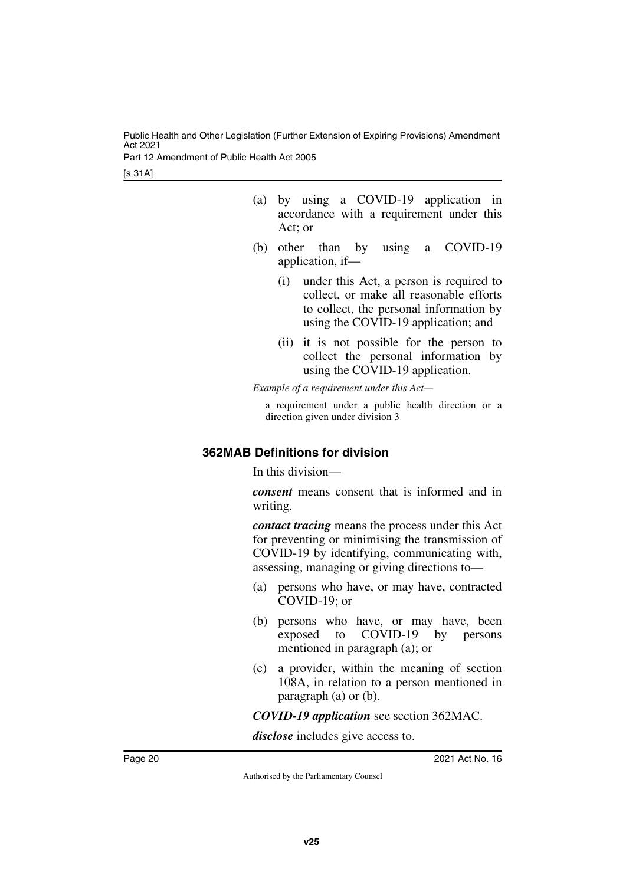Part 12 Amendment of Public Health Act 2005

[s 31A]

- (a) by using a COVID-19 application in accordance with a requirement under this Act; or
- (b) other than by using a COVID-19 application, if—
	- (i) under this Act, a person is required to collect, or make all reasonable efforts to collect, the personal information by using the COVID-19 application; and
	- (ii) it is not possible for the person to collect the personal information by using the COVID-19 application.

*Example of a requirement under this Act—*

a requirement under a public health direction or a direction given under division 3

#### <span id="page-21-0"></span>**362MAB Definitions for division**

<span id="page-21-1"></span>In this division—

*consent* means consent that is informed and in writing.

*contact tracing* means the process under this Act for preventing or minimising the transmission of COVID-19 by identifying, communicating with, assessing, managing or giving directions to—

- (a) persons who have, or may have, contracted COVID-19; or
- (b) persons who have, or may have, been exposed to COVID-19 by persons mentioned in paragraph (a); or
- (c) a provider, within the meaning of section 108A, in relation to a person mentioned in paragraph (a) or (b).

*COVID-19 application* see section 362MAC.

*disclose* includes give access to.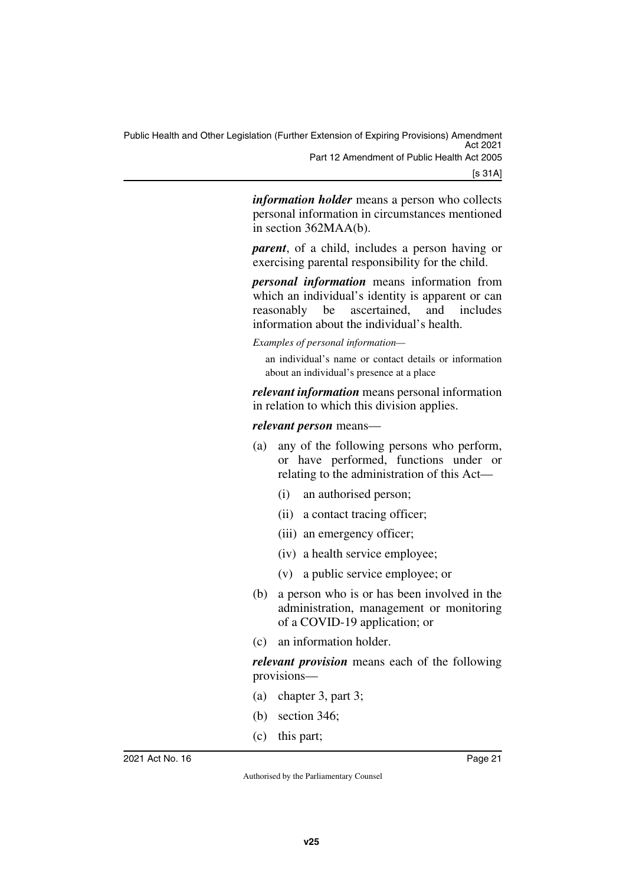Public Health and Other Legislation (Further Extension of Expiring Provisions) Amendment Act 2021 Part 12 Amendment of Public Health Act 2005

[s 31A]

*information holder* means a person who collects personal information in circumstances mentioned in section 362MAA(b).

*parent*, of a child, includes a person having or exercising parental responsibility for the child.

*personal information* means information from which an individual's identity is apparent or can reasonably be ascertained, and includes information about the individual's health.

*Examples of personal information—*

an individual's name or contact details or information about an individual's presence at a place

*relevant information* means personal information in relation to which this division applies.

*relevant person* means—

- (a) any of the following persons who perform, or have performed, functions under or relating to the administration of this Act—
	- (i) an authorised person;
	- (ii) a contact tracing officer;
	- (iii) an emergency officer;
	- (iv) a health service employee;
	- (v) a public service employee; or
- (b) a person who is or has been involved in the administration, management or monitoring of a COVID-19 application; or
- (c) an information holder.

*relevant provision* means each of the following provisions—

- (a) chapter 3, part 3;
- (b) section 346;
- (c) this part;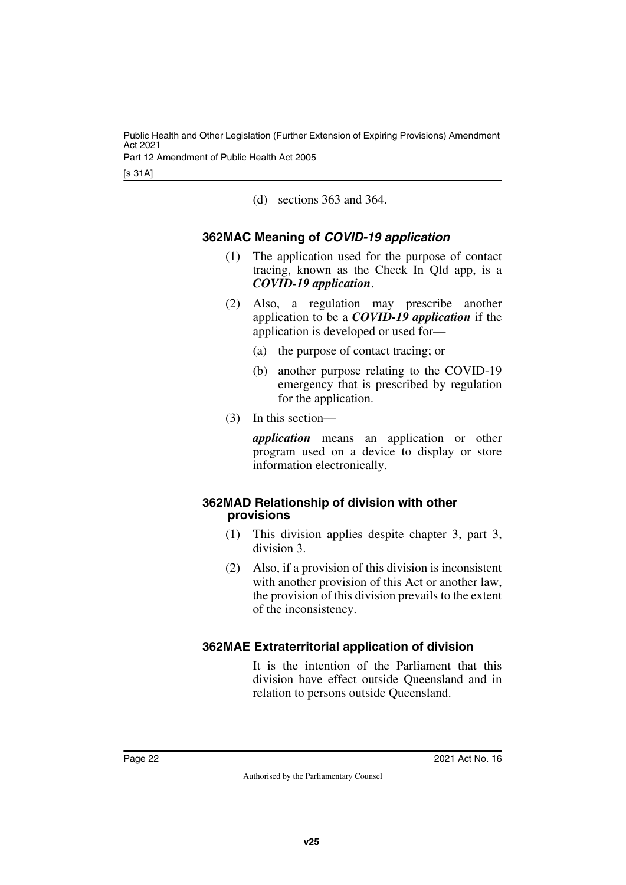[s 31A]

<span id="page-23-1"></span>(d) sections 363 and 364.

#### <span id="page-23-0"></span>**362MAC Meaning of** *COVID-19 application*

- (1) The application used for the purpose of contact tracing, known as the Check In Qld app, is a *COVID-19 application*.
- (2) Also, a regulation may prescribe another application to be a *COVID-19 application* if the application is developed or used for—
	- (a) the purpose of contact tracing; or
	- (b) another purpose relating to the COVID-19 emergency that is prescribed by regulation for the application.
- (3) In this section—

*application* means an application or other program used on a device to display or store information electronically.

#### <span id="page-23-2"></span>**362MAD Relationship of division with other provisions**

- <span id="page-23-3"></span>(1) This division applies despite chapter 3, part 3, division 3.
- (2) Also, if a provision of this division is inconsistent with another provision of this Act or another law, the provision of this division prevails to the extent of the inconsistency.

#### <span id="page-23-4"></span>**362MAE Extraterritorial application of division**

<span id="page-23-5"></span>It is the intention of the Parliament that this division have effect outside Queensland and in relation to persons outside Queensland.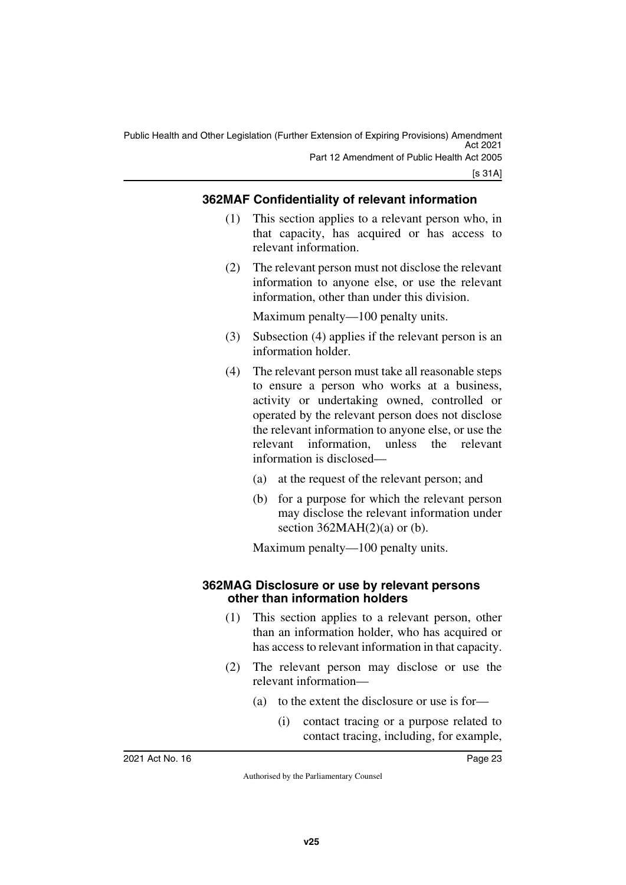#### <span id="page-24-0"></span>**362MAF Confidentiality of relevant information**

- <span id="page-24-1"></span>(1) This section applies to a relevant person who, in that capacity, has acquired or has access to relevant information.
- (2) The relevant person must not disclose the relevant information to anyone else, or use the relevant information, other than under this division.

Maximum penalty—100 penalty units.

- (3) Subsection (4) applies if the relevant person is an information holder.
- (4) The relevant person must take all reasonable steps to ensure a person who works at a business, activity or undertaking owned, controlled or operated by the relevant person does not disclose the relevant information to anyone else, or use the relevant information, unless the relevant information is disclosed—
	- (a) at the request of the relevant person; and
	- (b) for a purpose for which the relevant person may disclose the relevant information under section  $362MAH(2)(a)$  or (b).

<span id="page-24-3"></span>Maximum penalty—100 penalty units.

#### <span id="page-24-2"></span>**362MAG Disclosure or use by relevant persons other than information holders**

- (1) This section applies to a relevant person, other than an information holder, who has acquired or has access to relevant information in that capacity.
- (2) The relevant person may disclose or use the relevant information—
	- (a) to the extent the disclosure or use is for—
		- (i) contact tracing or a purpose related to contact tracing, including, for example,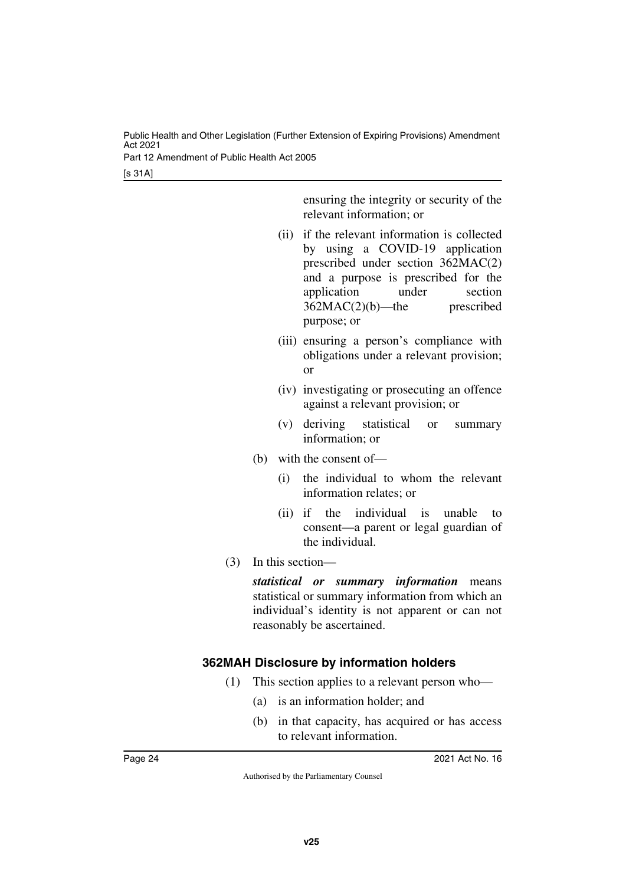Part 12 Amendment of Public Health Act 2005

[s 31A]

ensuring the integrity or security of the relevant information; or

- (ii) if the relevant information is collected by using a COVID-19 application prescribed under section 362MAC(2) and a purpose is prescribed for the application under section 362MAC(2)(b)—the prescribed purpose; or
- (iii) ensuring a person's compliance with obligations under a relevant provision; or
- (iv) investigating or prosecuting an offence against a relevant provision; or
- (v) deriving statistical or summary information; or
- (b) with the consent of—
	- (i) the individual to whom the relevant information relates; or
	- (ii) if the individual is unable to consent—a parent or legal guardian of the individual.
- (3) In this section—

*statistical or summary information* means statistical or summary information from which an individual's identity is not apparent or can not reasonably be ascertained.

#### <span id="page-25-0"></span>**362MAH Disclosure by information holders**

- <span id="page-25-1"></span>(1) This section applies to a relevant person who—
	- (a) is an information holder; and
	- (b) in that capacity, has acquired or has access to relevant information.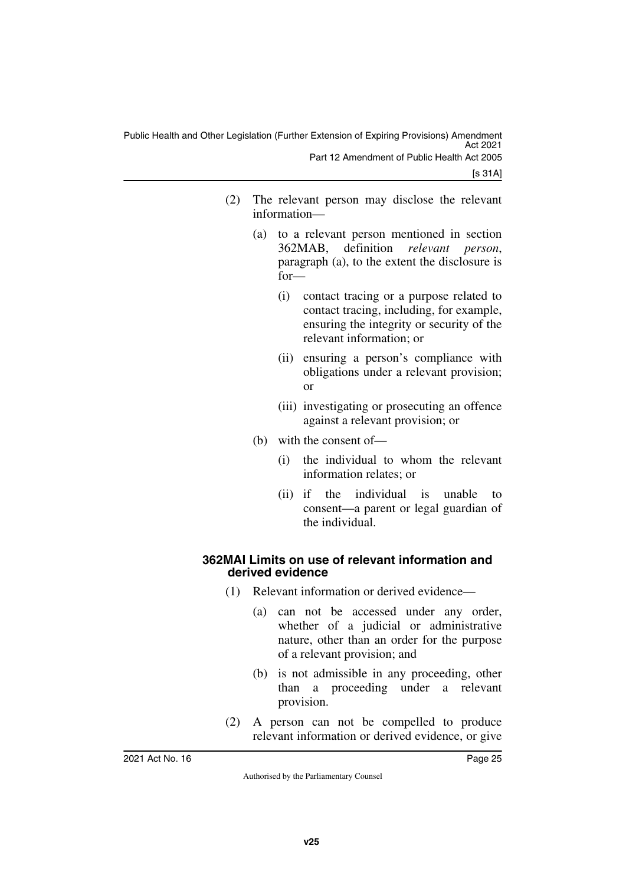- (2) The relevant person may disclose the relevant information—
	- (a) to a relevant person mentioned in section 362MAB, definition *relevant person*, paragraph (a), to the extent the disclosure is for—
		- (i) contact tracing or a purpose related to contact tracing, including, for example, ensuring the integrity or security of the relevant information; or
		- (ii) ensuring a person's compliance with obligations under a relevant provision; or
		- (iii) investigating or prosecuting an offence against a relevant provision; or
	- (b) with the consent of—
		- (i) the individual to whom the relevant information relates; or
		- (ii) if the individual is unable to consent—a parent or legal guardian of the individual.

#### <span id="page-26-1"></span><span id="page-26-0"></span>**362MAI Limits on use of relevant information and derived evidence**

- (1) Relevant information or derived evidence—
	- (a) can not be accessed under any order, whether of a judicial or administrative nature, other than an order for the purpose of a relevant provision; and
	- (b) is not admissible in any proceeding, other than a proceeding under a relevant provision.
- (2) A person can not be compelled to produce relevant information or derived evidence, or give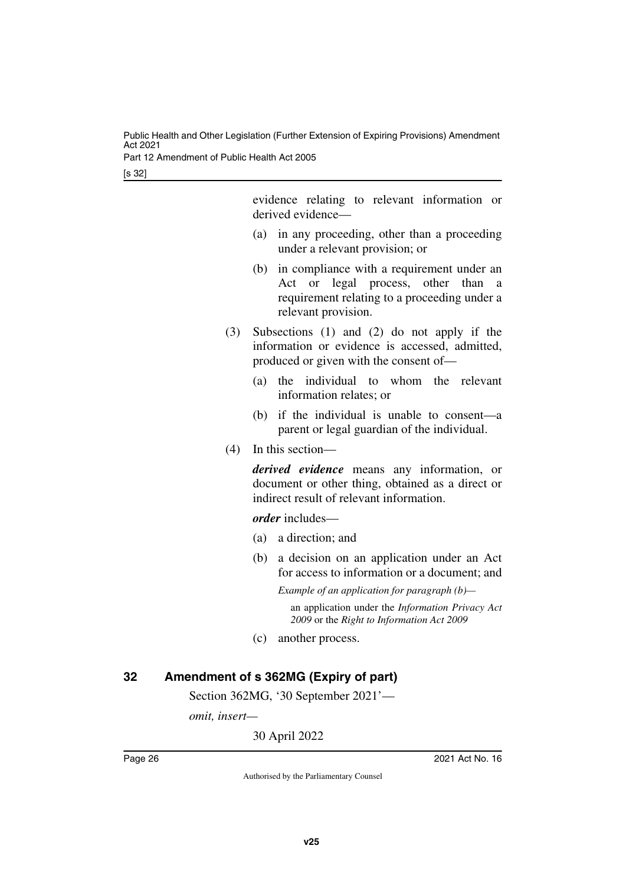Part 12 Amendment of Public Health Act 2005

[s 32]

evidence relating to relevant information or derived evidence—

- (a) in any proceeding, other than a proceeding under a relevant provision; or
- (b) in compliance with a requirement under an Act or legal process, other than a requirement relating to a proceeding under a relevant provision.
- (3) Subsections (1) and (2) do not apply if the information or evidence is accessed, admitted, produced or given with the consent of—
	- (a) the individual to whom the relevant information relates; or
	- (b) if the individual is unable to consent—a parent or legal guardian of the individual.
- (4) In this section—

*derived evidence* means any information, or document or other thing, obtained as a direct or indirect result of relevant information.

*order* includes—

- (a) a direction; and
- (b) a decision on an application under an Act for access to information or a document; and

*Example of an application for paragraph (b)* an application under the *Information Privacy Act 2009* or the *Right to Information Act 2009*

(c) another process.

#### <span id="page-27-0"></span>**32 Amendment of s 362MG (Expiry of part)**

<span id="page-27-1"></span>Section 362MG, '30 September 2021'—

*omit, insert—*

30 April 2022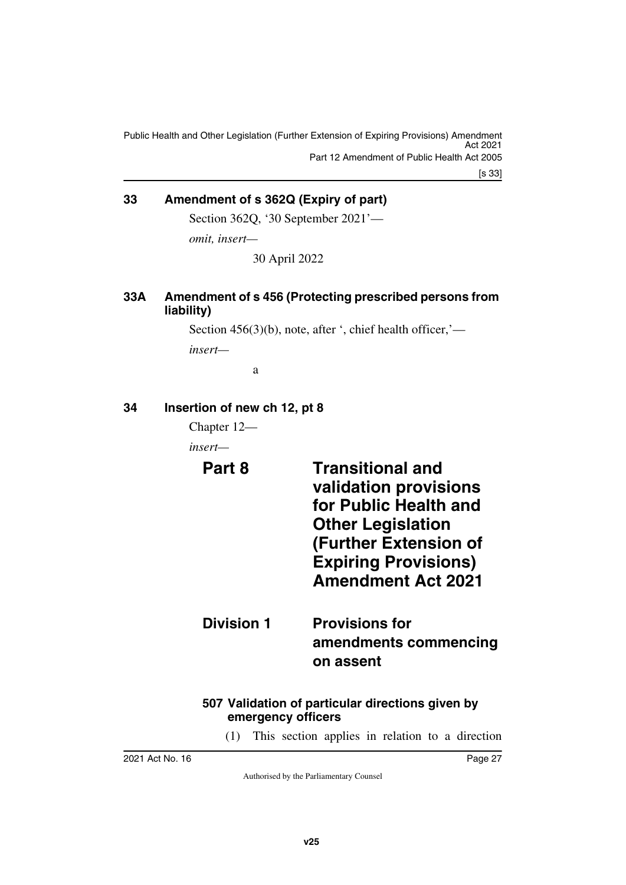[s 33]

#### <span id="page-28-0"></span>**33 Amendment of s 362Q (Expiry of part)**

<span id="page-28-1"></span>Section 362Q, '30 September 2021'—

*omit, insert—*

30 April 2022

#### <span id="page-28-3"></span><span id="page-28-2"></span>**33A Amendment of s 456 (Protecting prescribed persons from liability)**

Section 456(3)(b), note, after ', chief health officer,'—

*insert—*

<span id="page-28-7"></span>a

#### <span id="page-28-4"></span>**34 Insertion of new ch 12, pt 8**

<span id="page-28-5"></span>Chapter 12—

<span id="page-28-6"></span>*insert—*

**Part 8 Transitional and validation provisions for Public Health and Other Legislation (Further Extension of Expiring Provisions) Amendment Act 2021**

## <span id="page-28-9"></span><span id="page-28-8"></span>**Division 1 Provisions for amendments commencing on assent**

#### <span id="page-28-11"></span><span id="page-28-10"></span>**507 Validation of particular directions given by emergency officers**

(1) This section applies in relation to a direction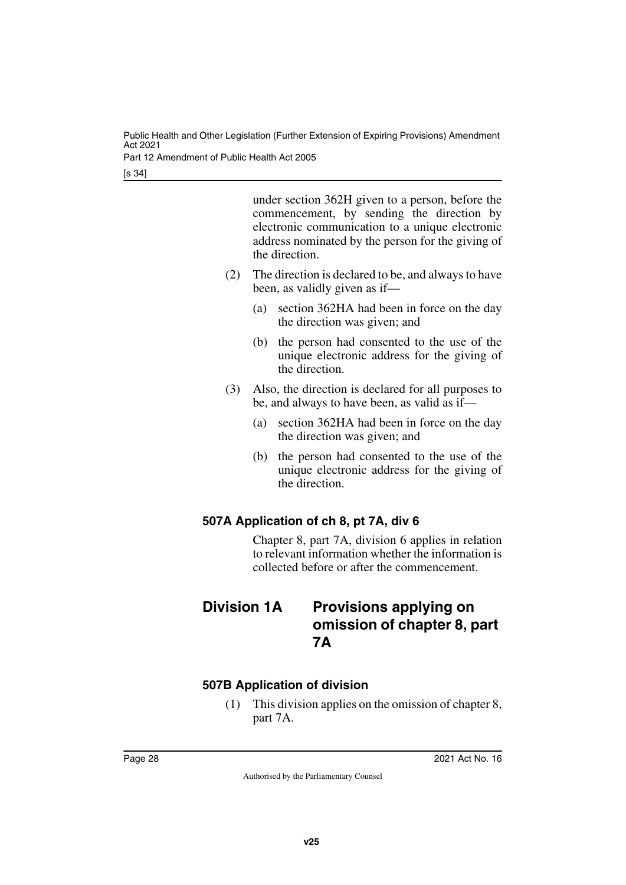Part 12 Amendment of Public Health Act 2005

[s 34]

under section 362H given to a person, before the commencement, by sending the direction by electronic communication to a unique electronic address nominated by the person for the giving of the direction.

- (2) The direction is declared to be, and always to have been, as validly given as if—
	- (a) section 362HA had been in force on the day the direction was given; and
	- (b) the person had consented to the use of the unique electronic address for the giving of the direction.
- (3) Also, the direction is declared for all purposes to be, and always to have been, as valid as if—
	- (a) section 362HA had been in force on the day the direction was given; and
	- (b) the person had consented to the use of the unique electronic address for the giving of the direction.

#### <span id="page-29-0"></span>**507A Application of ch 8, pt 7A, div 6**

<span id="page-29-3"></span><span id="page-29-1"></span>Chapter 8, part 7A, division 6 applies in relation to relevant information whether the information is collected before or after the commencement.

## <span id="page-29-2"></span>**Division 1A Provisions applying on omission of chapter 8, part 7A**

#### <span id="page-29-4"></span>**507B Application of division**

<span id="page-29-5"></span>(1) This division applies on the omission of chapter 8, part 7A.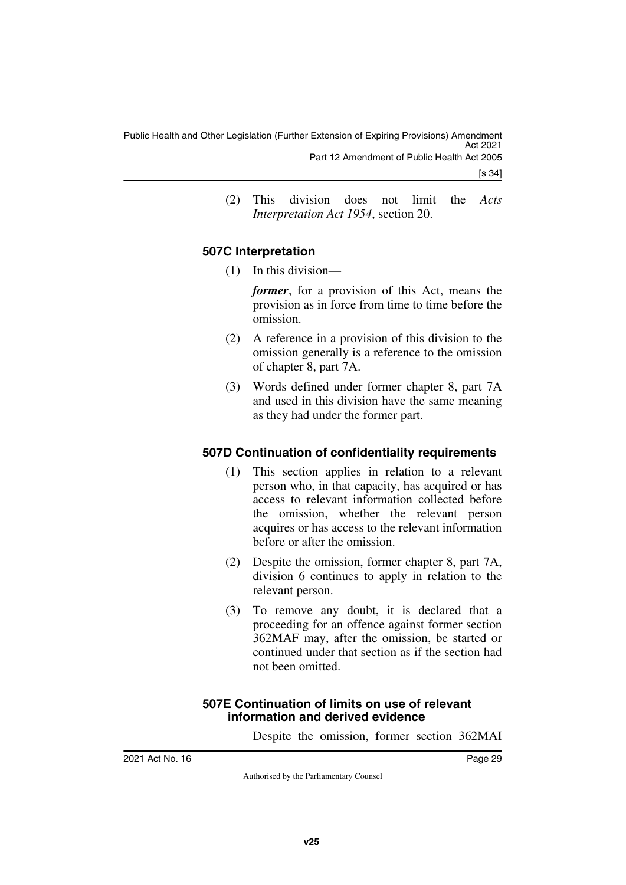- [s 34]
- (2) This division does not limit the *Acts Interpretation Act 1954*, section 20.

#### <span id="page-30-0"></span>**507C Interpretation**

<span id="page-30-1"></span>(1) In this division—

*former*, for a provision of this Act, means the provision as in force from time to time before the omission.

- (2) A reference in a provision of this division to the omission generally is a reference to the omission of chapter 8, part 7A.
- (3) Words defined under former chapter 8, part 7A and used in this division have the same meaning as they had under the former part.

#### <span id="page-30-2"></span>**507D Continuation of confidentiality requirements**

- <span id="page-30-3"></span>(1) This section applies in relation to a relevant person who, in that capacity, has acquired or has access to relevant information collected before the omission, whether the relevant person acquires or has access to the relevant information before or after the omission.
- (2) Despite the omission, former chapter 8, part 7A, division 6 continues to apply in relation to the relevant person.
- (3) To remove any doubt, it is declared that a proceeding for an offence against former section 362MAF may, after the omission, be started or continued under that section as if the section had not been omitted.

#### <span id="page-30-5"></span><span id="page-30-4"></span>**507E Continuation of limits on use of relevant information and derived evidence**

Despite the omission, former section 362MAI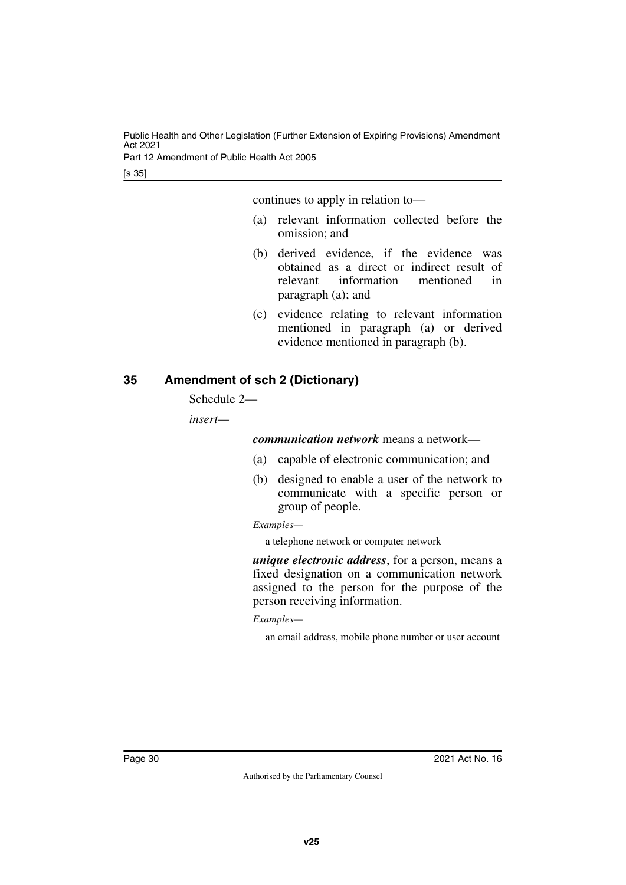Part 12 Amendment of Public Health Act 2005

[s 35]

continues to apply in relation to—

- (a) relevant information collected before the omission; and
- (b) derived evidence, if the evidence was obtained as a direct or indirect result of relevant information mentioned in paragraph (a); and
- (c) evidence relating to relevant information mentioned in paragraph (a) or derived evidence mentioned in paragraph (b).

#### <span id="page-31-0"></span>**35 Amendment of sch 2 (Dictionary)**

<span id="page-31-1"></span>Schedule 2—

*insert—*

*communication network* means a network—

- (a) capable of electronic communication; and
- (b) designed to enable a user of the network to communicate with a specific person or group of people.

*Examples—*

a telephone network or computer network

*unique electronic address*, for a person, means a fixed designation on a communication network assigned to the person for the purpose of the person receiving information.

*Examples—*

an email address, mobile phone number or user account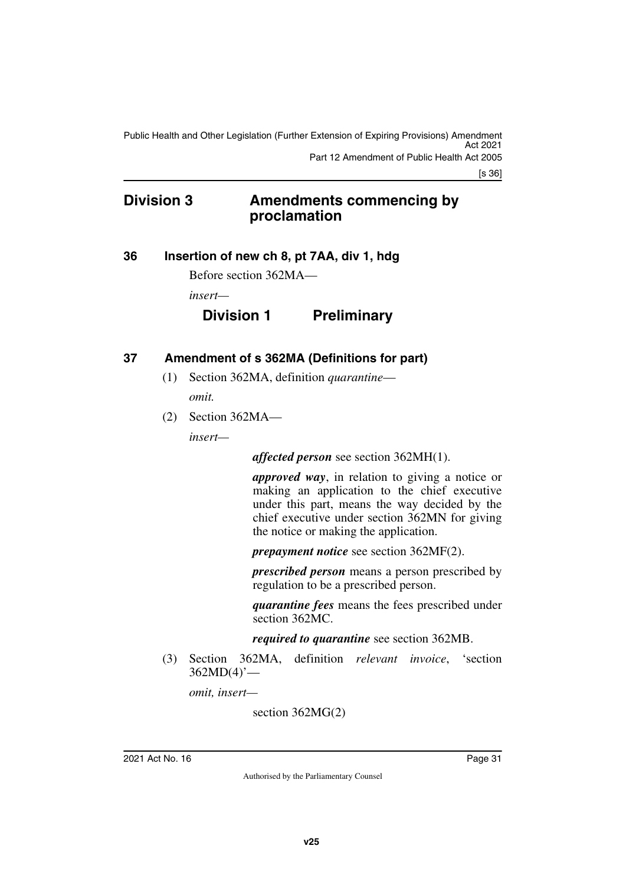[s 36]

## <span id="page-32-0"></span>**Division 3 Amendments commencing by proclamation**

#### <span id="page-32-2"></span>**36 Insertion of new ch 8, pt 7AA, div 1, hdg**

<span id="page-32-3"></span><span id="page-32-1"></span>Before section 362MA—

*insert—*

## **Division 1 Preliminary**

#### <span id="page-32-4"></span>**37 Amendment of s 362MA (Definitions for part)**

- <span id="page-32-5"></span>(1) Section 362MA, definition *quarantine omit.*
- (2) Section 362MA—

*insert—*

*affected person* see section 362MH(1).

*approved way*, in relation to giving a notice or making an application to the chief executive under this part, means the way decided by the chief executive under section 362MN for giving the notice or making the application.

*prepayment notice* see section 362MF(2).

*prescribed person* means a person prescribed by regulation to be a prescribed person.

*quarantine fees* means the fees prescribed under section 362MC.

*required to quarantine* see section 362MB.

(3) Section 362MA, definition *relevant invoice*, 'section 362MD(4)'—

*omit, insert—*

section 362MG(2)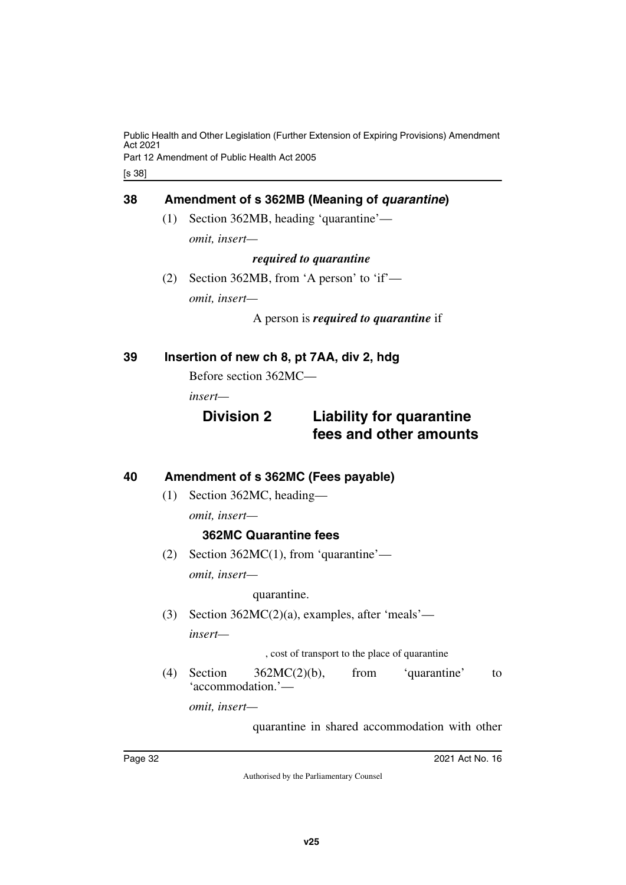Part 12 Amendment of Public Health Act 2005

[s 38]

#### <span id="page-33-0"></span>**38 Amendment of s 362MB (Meaning of** *quarantine***)**

<span id="page-33-1"></span>(1) Section 362MB, heading 'quarantine' *omit, insert—*

#### *required to quarantine*

(2) Section 362MB, from 'A person' to 'if' *omit, insert—*

A person is *required to quarantine* if

#### <span id="page-33-2"></span>**39 Insertion of new ch 8, pt 7AA, div 2, hdg**

<span id="page-33-3"></span>Before section 362MC—

*insert—*

## **Division 2 Liability for quarantine fees and other amounts**

#### <span id="page-33-4"></span>**40 Amendment of s 362MC (Fees payable)**

<span id="page-33-5"></span>(1) Section 362MC, heading—

*omit, insert—*

#### **362MC Quarantine fees**

(2) Section 362MC(1), from 'quarantine'—

*omit, insert—*

quarantine.

(3) Section 362MC(2)(a), examples, after 'meals' *insert—*

, cost of transport to the place of quarantine

(4) Section 362MC(2)(b), from 'quarantine' to 'accommodation.'—

*omit, insert—*

quarantine in shared accommodation with other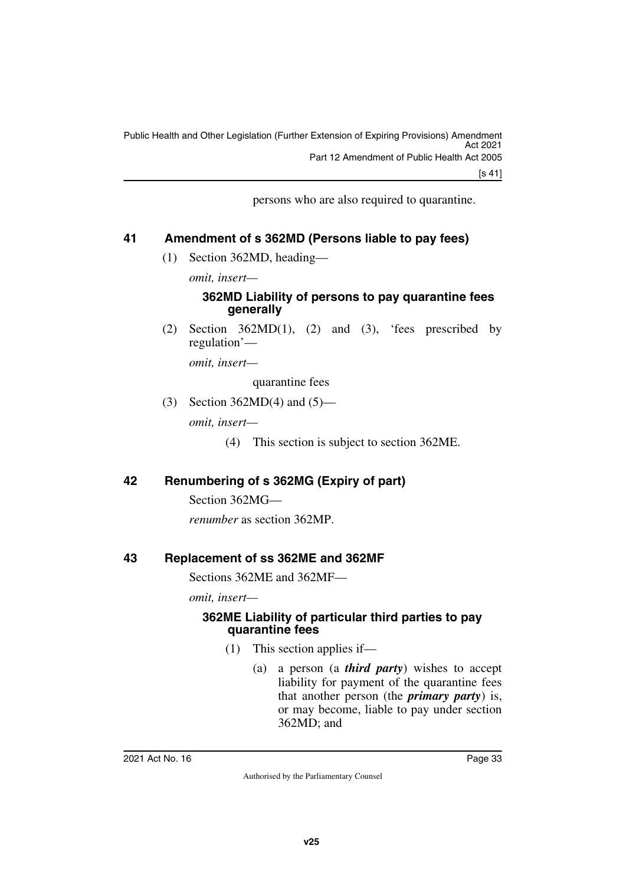[s 41]

persons who are also required to quarantine.

#### <span id="page-34-0"></span>**41 Amendment of s 362MD (Persons liable to pay fees)**

<span id="page-34-1"></span>(1) Section 362MD, heading—

*omit, insert—*

#### **362MD Liability of persons to pay quarantine fees generally**

(2) Section  $362MD(1)$ , (2) and (3), 'fees prescribed by regulation'—

*omit, insert—*

quarantine fees

(3) Section 362MD(4) and (5)—

*omit, insert—*

(4) This section is subject to section 362ME.

#### <span id="page-34-2"></span>**42 Renumbering of s 362MG (Expiry of part)**

<span id="page-34-3"></span>Section 362MG—

<span id="page-34-5"></span>*renumber* as section 362MP.

#### <span id="page-34-4"></span>**43 Replacement of ss 362ME and 362MF**

Sections 362ME and 362MF—

*omit, insert—*

#### <span id="page-34-7"></span><span id="page-34-6"></span>**362ME Liability of particular third parties to pay quarantine fees**

- (1) This section applies if—
	- (a) a person (a *third party*) wishes to accept liability for payment of the quarantine fees that another person (the *primary party*) is, or may become, liable to pay under section 362MD; and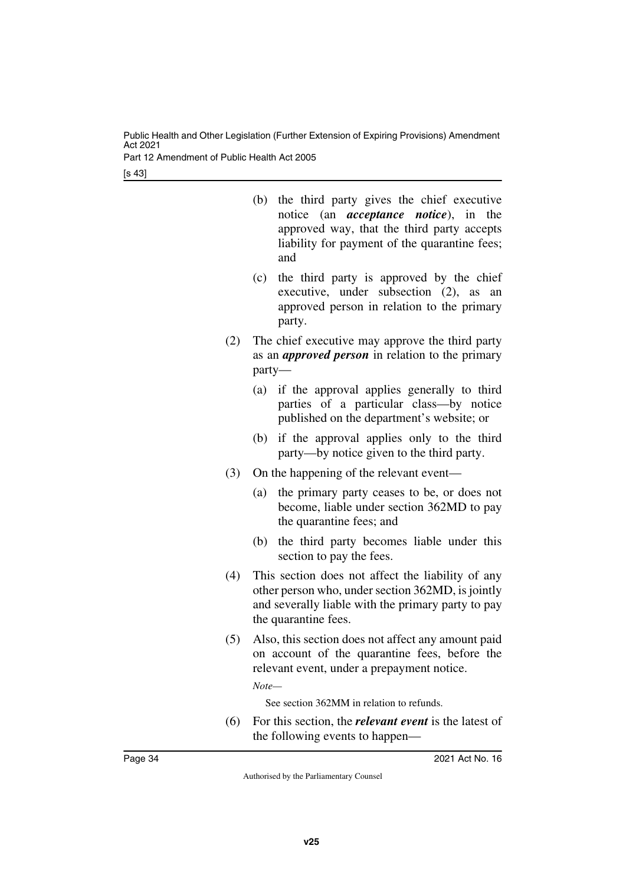Part 12 Amendment of Public Health Act 2005

[s 43]

- (b) the third party gives the chief executive notice (an *acceptance notice*), in the approved way, that the third party accepts liability for payment of the quarantine fees; and
- (c) the third party is approved by the chief executive, under subsection (2), as an approved person in relation to the primary party.
- (2) The chief executive may approve the third party as an *approved person* in relation to the primary party—
	- (a) if the approval applies generally to third parties of a particular class—by notice published on the department's website; or
	- (b) if the approval applies only to the third party—by notice given to the third party.
- (3) On the happening of the relevant event—
	- (a) the primary party ceases to be, or does not become, liable under section 362MD to pay the quarantine fees; and
	- (b) the third party becomes liable under this section to pay the fees.
- (4) This section does not affect the liability of any other person who, under section 362MD, is jointly and severally liable with the primary party to pay the quarantine fees.
- (5) Also, this section does not affect any amount paid on account of the quarantine fees, before the relevant event, under a prepayment notice.

*Note—*

See section 362MM in relation to refunds.

(6) For this section, the *relevant event* is the latest of the following events to happen—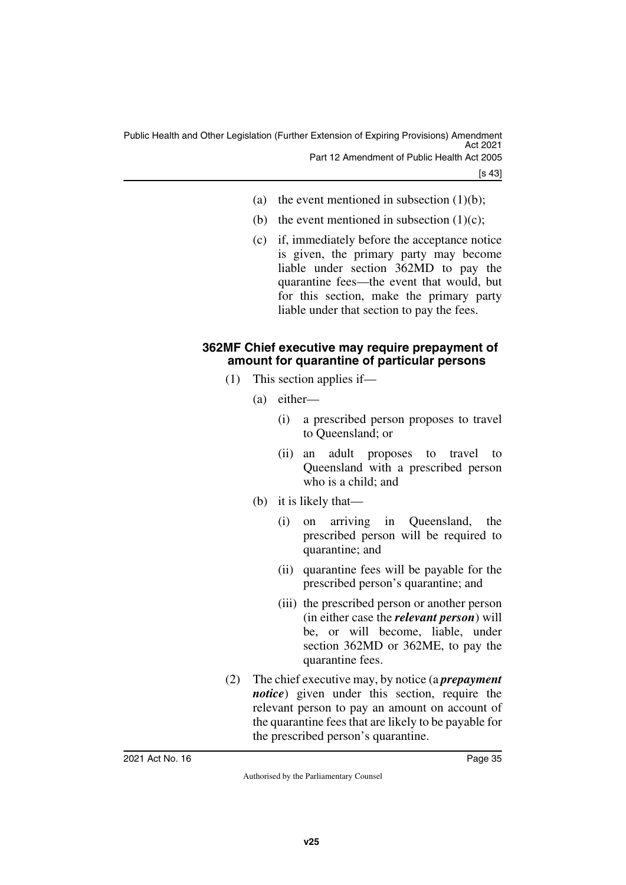- (a) the event mentioned in subsection  $(1)(b)$ ;
- (b) the event mentioned in subsection  $(1)(c)$ ;
- (c) if, immediately before the acceptance notice is given, the primary party may become liable under section 362MD to pay the quarantine fees—the event that would, but for this section, make the primary party liable under that section to pay the fees.

#### <span id="page-36-1"></span><span id="page-36-0"></span>**362MF Chief executive may require prepayment of amount for quarantine of particular persons**

- (1) This section applies if—
	- (a) either—
		- (i) a prescribed person proposes to travel to Queensland; or
		- (ii) an adult proposes to travel to Queensland with a prescribed person who is a child; and
	- (b) it is likely that—
		- (i) on arriving in Queensland, the prescribed person will be required to quarantine; and
		- (ii) quarantine fees will be payable for the prescribed person's quarantine; and
		- (iii) the prescribed person or another person (in either case the *relevant person*) will be, or will become, liable, under section 362MD or 362ME, to pay the quarantine fees.
- (2) The chief executive may, by notice (a *prepayment notice*) given under this section, require the relevant person to pay an amount on account of the quarantine fees that are likely to be payable for the prescribed person's quarantine.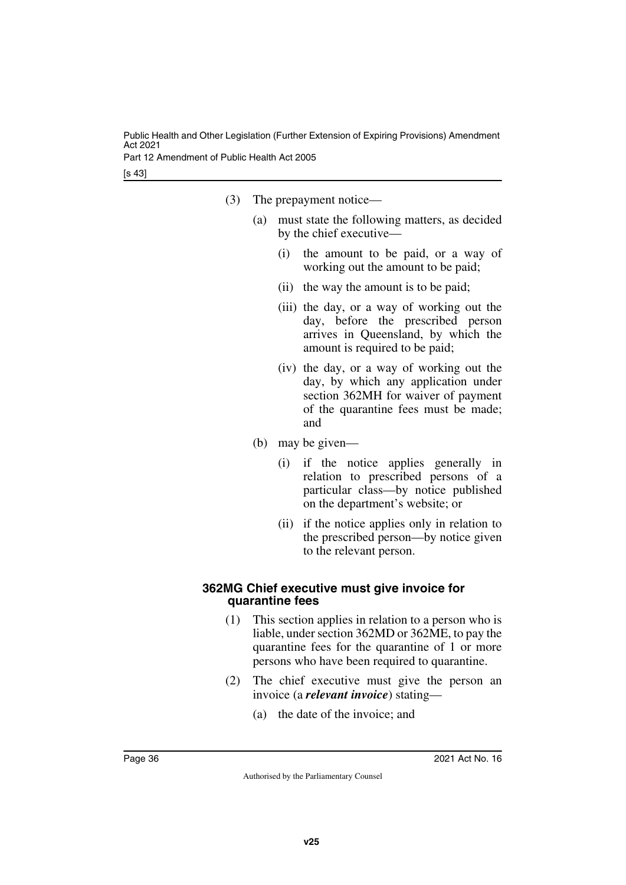Part 12 Amendment of Public Health Act 2005

[s 43]

- (3) The prepayment notice—
	- (a) must state the following matters, as decided by the chief executive—
		- (i) the amount to be paid, or a way of working out the amount to be paid;
		- (ii) the way the amount is to be paid;
		- (iii) the day, or a way of working out the day, before the prescribed person arrives in Queensland, by which the amount is required to be paid;
		- (iv) the day, or a way of working out the day, by which any application under section 362MH for waiver of payment of the quarantine fees must be made; and
	- (b) may be given—
		- (i) if the notice applies generally in relation to prescribed persons of a particular class—by notice published on the department's website; or
		- (ii) if the notice applies only in relation to the prescribed person—by notice given to the relevant person.

#### <span id="page-37-1"></span><span id="page-37-0"></span>**362MG Chief executive must give invoice for quarantine fees**

- (1) This section applies in relation to a person who is liable, under section 362MD or 362ME, to pay the quarantine fees for the quarantine of 1 or more persons who have been required to quarantine.
- (2) The chief executive must give the person an invoice (a *relevant invoice*) stating—
	- (a) the date of the invoice; and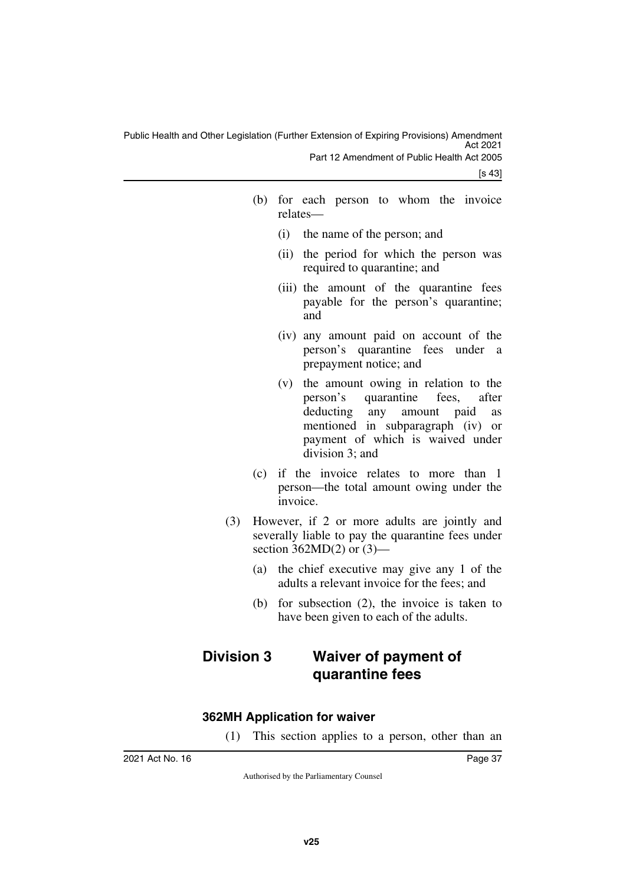[s 43]

- (b) for each person to whom the invoice relates—
	- (i) the name of the person; and
	- (ii) the period for which the person was required to quarantine; and
	- (iii) the amount of the quarantine fees payable for the person's quarantine; and
	- (iv) any amount paid on account of the person's quarantine fees under a prepayment notice; and
	- (v) the amount owing in relation to the person's quarantine fees, after deducting any amount paid as mentioned in subparagraph (iv) or payment of which is waived under division 3; and
- (c) if the invoice relates to more than 1 person—the total amount owing under the invoice.
- (3) However, if 2 or more adults are jointly and severally liable to pay the quarantine fees under section  $362MD(2)$  or  $(3)$ —
	- (a) the chief executive may give any 1 of the adults a relevant invoice for the fees; and
	- (b) for subsection (2), the invoice is taken to have been given to each of the adults.

## <span id="page-38-1"></span><span id="page-38-0"></span>**Division 3 Waiver of payment of quarantine fees**

#### <span id="page-38-2"></span>**362MH Application for waiver**

<span id="page-38-3"></span>(1) This section applies to a person, other than an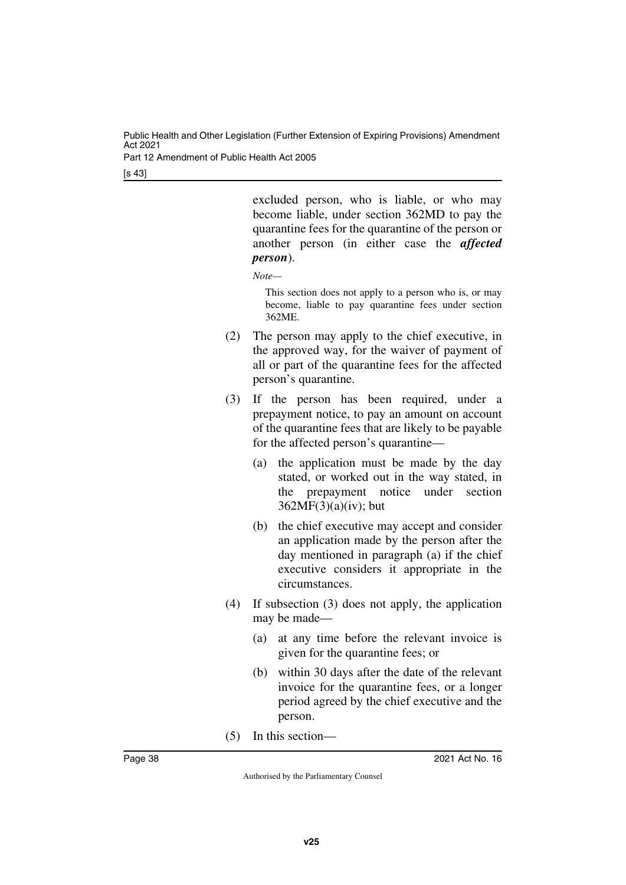Part 12 Amendment of Public Health Act 2005

[s 43]

excluded person, who is liable, or who may become liable, under section 362MD to pay the quarantine fees for the quarantine of the person or another person (in either case the *affected person*).

*Note—*

This section does not apply to a person who is, or may become, liable to pay quarantine fees under section 362ME.

- (2) The person may apply to the chief executive, in the approved way, for the waiver of payment of all or part of the quarantine fees for the affected person's quarantine.
- (3) If the person has been required, under a prepayment notice, to pay an amount on account of the quarantine fees that are likely to be payable for the affected person's quarantine—
	- (a) the application must be made by the day stated, or worked out in the way stated, in the prepayment notice under section 362MF(3)(a)(iv); but
	- (b) the chief executive may accept and consider an application made by the person after the day mentioned in paragraph (a) if the chief executive considers it appropriate in the circumstances.
- (4) If subsection (3) does not apply, the application may be made—
	- (a) at any time before the relevant invoice is given for the quarantine fees; or
	- (b) within 30 days after the date of the relevant invoice for the quarantine fees, or a longer period agreed by the chief executive and the person.
- (5) In this section—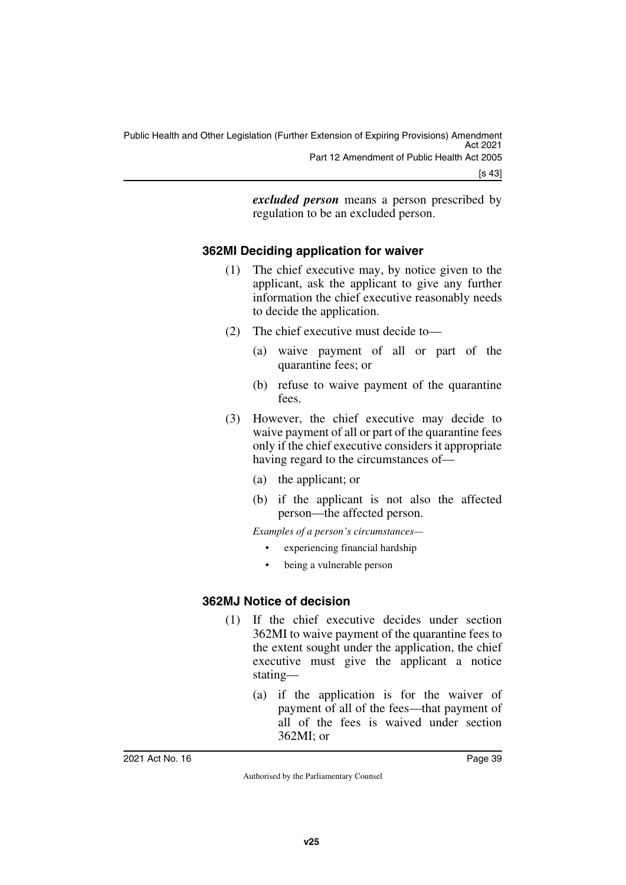*excluded person* means a person prescribed by regulation to be an excluded person.

#### <span id="page-40-0"></span>**362MI Deciding application for waiver**

- <span id="page-40-1"></span>(1) The chief executive may, by notice given to the applicant, ask the applicant to give any further information the chief executive reasonably needs to decide the application.
- (2) The chief executive must decide to—
	- (a) waive payment of all or part of the quarantine fees; or
	- (b) refuse to waive payment of the quarantine fees.
- (3) However, the chief executive may decide to waive payment of all or part of the quarantine fees only if the chief executive considers it appropriate having regard to the circumstances of—
	- (a) the applicant; or
	- (b) if the applicant is not also the affected person—the affected person.

*Examples of a person's circumstances—*

- experiencing financial hardship
- <span id="page-40-3"></span>being a vulnerable person

#### <span id="page-40-2"></span>**362MJ Notice of decision**

- (1) If the chief executive decides under section 362MI to waive payment of the quarantine fees to the extent sought under the application, the chief executive must give the applicant a notice stating—
	- (a) if the application is for the waiver of payment of all of the fees—that payment of all of the fees is waived under section 362MI; or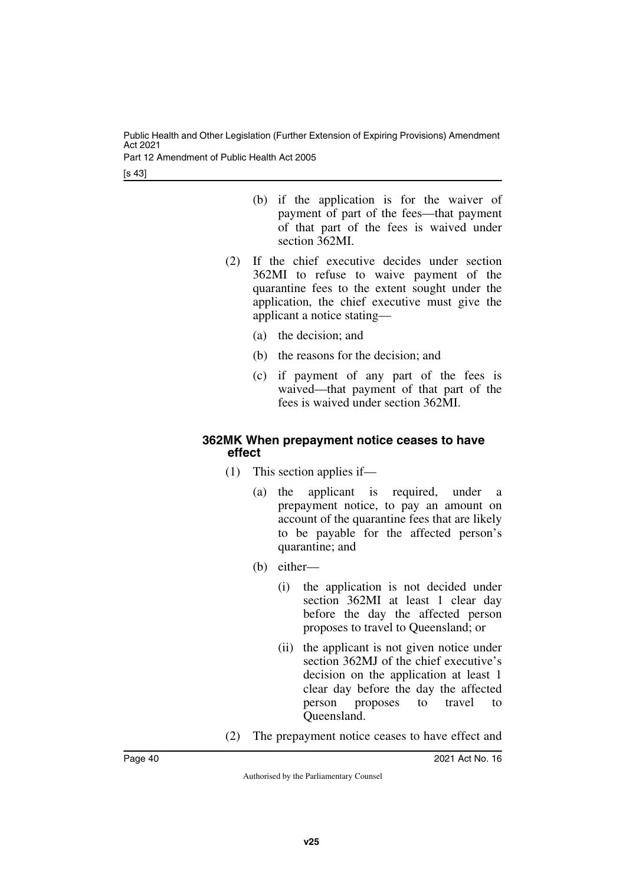Part 12 Amendment of Public Health Act 2005

[s 43]

- (b) if the application is for the waiver of payment of part of the fees—that payment of that part of the fees is waived under section 362MI.
- (2) If the chief executive decides under section 362MI to refuse to waive payment of the quarantine fees to the extent sought under the application, the chief executive must give the applicant a notice stating—
	- (a) the decision; and
	- (b) the reasons for the decision; and
	- (c) if payment of any part of the fees is waived—that payment of that part of the fees is waived under section 362MI.

#### <span id="page-41-1"></span><span id="page-41-0"></span>**362MK When prepayment notice ceases to have effect**

- (1) This section applies if—
	- (a) the applicant is required, under a prepayment notice, to pay an amount on account of the quarantine fees that are likely to be payable for the affected person's quarantine; and
	- (b) either—
		- (i) the application is not decided under section 362MI at least 1 clear day before the day the affected person proposes to travel to Queensland; or
		- (ii) the applicant is not given notice under section 362MJ of the chief executive's decision on the application at least 1 clear day before the day the affected person proposes to travel to Queensland.
- (2) The prepayment notice ceases to have effect and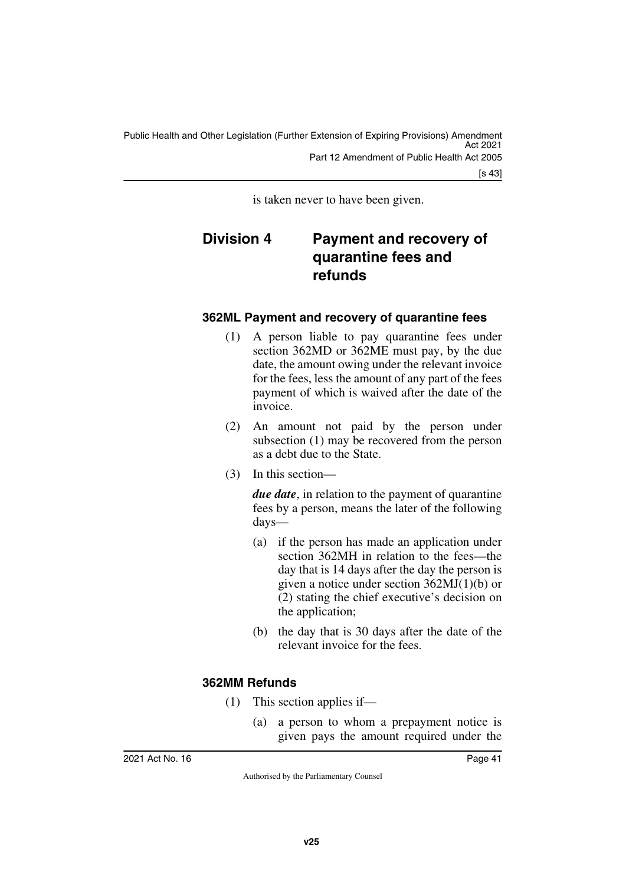[s 43]

<span id="page-42-1"></span>is taken never to have been given.

## <span id="page-42-0"></span>**Division 4 Payment and recovery of quarantine fees and refunds**

#### <span id="page-42-2"></span>**362ML Payment and recovery of quarantine fees**

- <span id="page-42-3"></span>(1) A person liable to pay quarantine fees under section 362MD or 362ME must pay, by the due date, the amount owing under the relevant invoice for the fees, less the amount of any part of the fees payment of which is waived after the date of the invoice.
- (2) An amount not paid by the person under subsection (1) may be recovered from the person as a debt due to the State.
- (3) In this section—

*due date*, in relation to the payment of quarantine fees by a person, means the later of the following days—

- (a) if the person has made an application under section 362MH in relation to the fees—the day that is 14 days after the day the person is given a notice under section 362MJ(1)(b) or (2) stating the chief executive's decision on the application;
- (b) the day that is 30 days after the date of the relevant invoice for the fees.

#### <span id="page-42-4"></span>**362MM Refunds**

- <span id="page-42-5"></span>(1) This section applies if—
	- (a) a person to whom a prepayment notice is given pays the amount required under the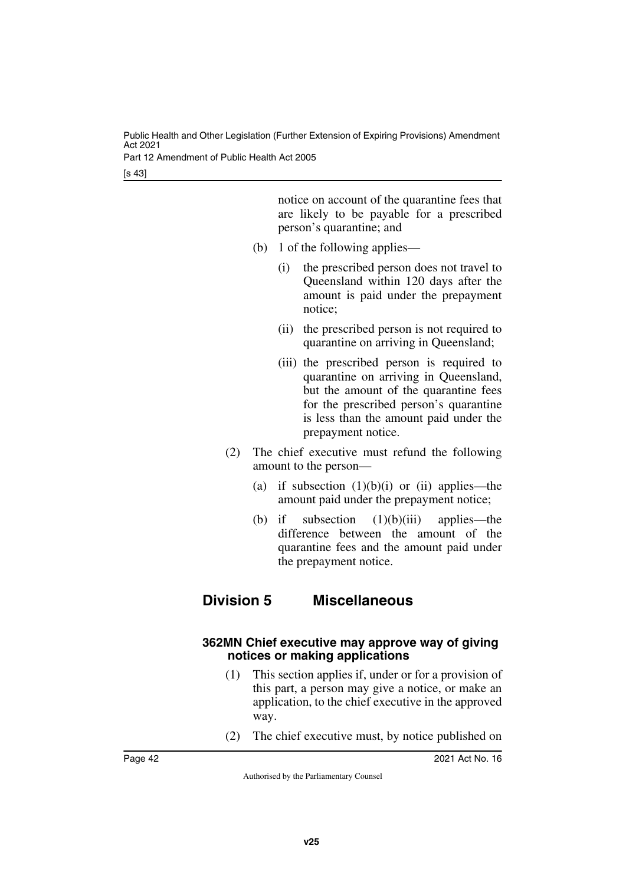Part 12 Amendment of Public Health Act 2005

[s 43]

notice on account of the quarantine fees that are likely to be payable for a prescribed person's quarantine; and

- (b) 1 of the following applies—
	- (i) the prescribed person does not travel to Queensland within 120 days after the amount is paid under the prepayment notice;
	- (ii) the prescribed person is not required to quarantine on arriving in Queensland;
	- (iii) the prescribed person is required to quarantine on arriving in Queensland, but the amount of the quarantine fees for the prescribed person's quarantine is less than the amount paid under the prepayment notice.
- (2) The chief executive must refund the following amount to the person—
	- (a) if subsection  $(1)(b)(i)$  or  $(ii)$  applies—the amount paid under the prepayment notice;
	- (b) if subsection  $(1)(b)(iii)$  applies—the difference between the amount of the quarantine fees and the amount paid under the prepayment notice.

## <span id="page-43-1"></span><span id="page-43-0"></span>**Division 5 Miscellaneous**

#### <span id="page-43-3"></span><span id="page-43-2"></span>**362MN Chief executive may approve way of giving notices or making applications**

- (1) This section applies if, under or for a provision of this part, a person may give a notice, or make an application, to the chief executive in the approved way.
- (2) The chief executive must, by notice published on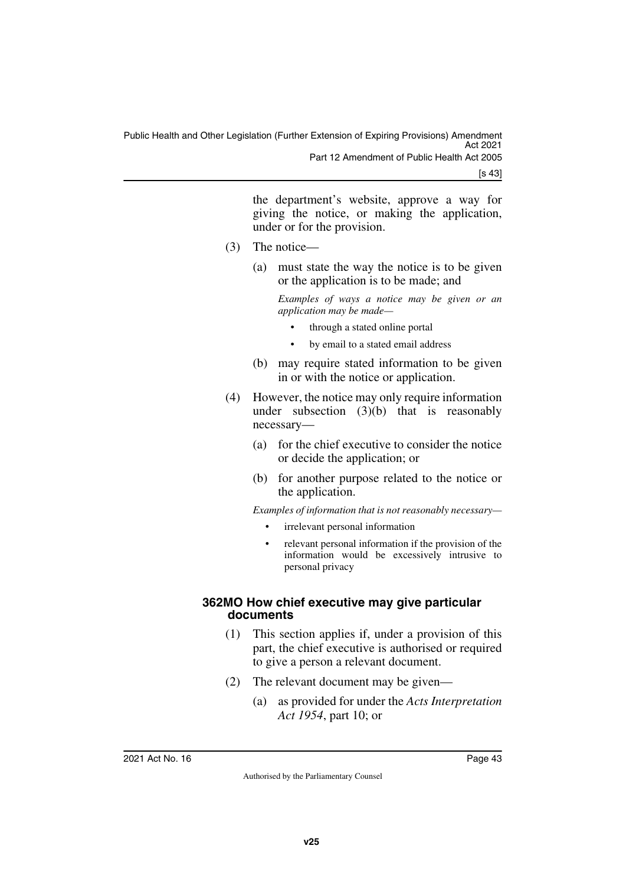[s 43]

the department's website, approve a way for giving the notice, or making the application, under or for the provision.

- (3) The notice—
	- (a) must state the way the notice is to be given or the application is to be made; and

*Examples of ways a notice may be given or an application may be made—*

- through a stated online portal
- by email to a stated email address
- (b) may require stated information to be given in or with the notice or application.
- (4) However, the notice may only require information under subsection  $(3)(b)$  that is reasonably necessary—
	- (a) for the chief executive to consider the notice or decide the application; or
	- (b) for another purpose related to the notice or the application.

*Examples of information that is not reasonably necessary—*

- irrelevant personal information
- relevant personal information if the provision of the information would be excessively intrusive to personal privacy

#### <span id="page-44-1"></span><span id="page-44-0"></span>**362MO How chief executive may give particular documents**

- (1) This section applies if, under a provision of this part, the chief executive is authorised or required to give a person a relevant document.
- (2) The relevant document may be given—
	- (a) as provided for under the *Acts Interpretation Act 1954*, part 10; or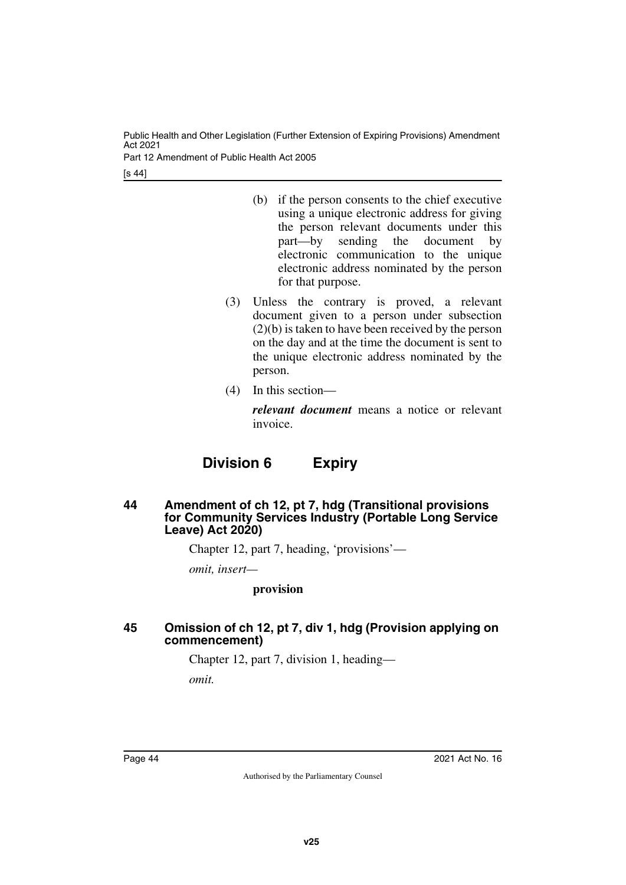Part 12 Amendment of Public Health Act 2005

[s 44]

- (b) if the person consents to the chief executive using a unique electronic address for giving the person relevant documents under this part—by sending the document by electronic communication to the unique electronic address nominated by the person for that purpose.
- (3) Unless the contrary is proved, a relevant document given to a person under subsection (2)(b) is taken to have been received by the person on the day and at the time the document is sent to the unique electronic address nominated by the person.
- (4) In this section—

*relevant document* means a notice or relevant invoice.

## **Division 6 Expiry**

#### <span id="page-45-1"></span><span id="page-45-0"></span>**44 Amendment of ch 12, pt 7, hdg (Transitional provisions for Community Services Industry (Portable Long Service Leave) Act 2020)**

Chapter 12, part 7, heading, 'provisions'—

*omit, insert—*

#### **provision**

#### <span id="page-45-3"></span><span id="page-45-2"></span>**45 Omission of ch 12, pt 7, div 1, hdg (Provision applying on commencement)**

Chapter 12, part 7, division 1, heading—

*omit.*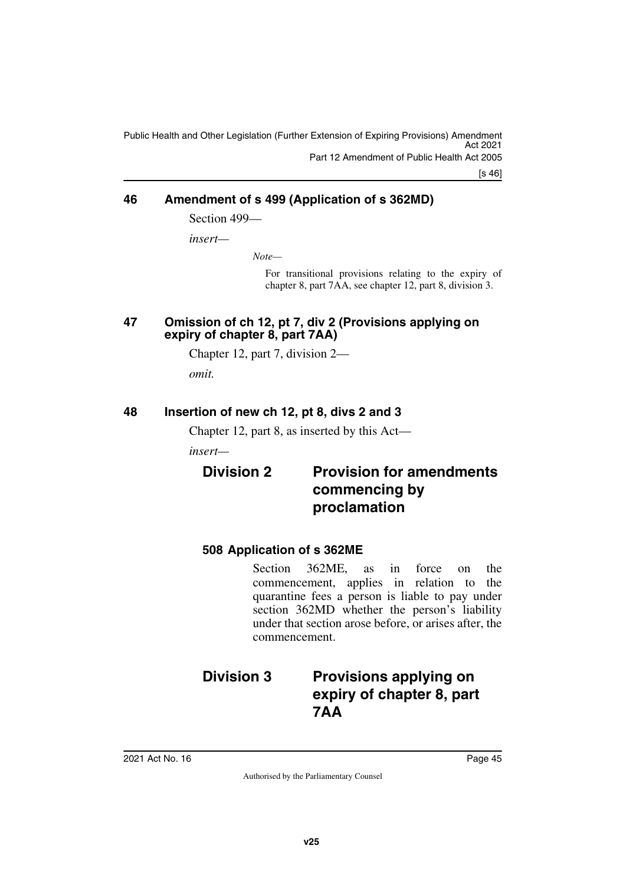[s 46]

#### <span id="page-46-0"></span>**46 Amendment of s 499 (Application of s 362MD)**

<span id="page-46-1"></span>Section 499—

*insert—*

*Note—*

For transitional provisions relating to the expiry of chapter 8, part 7AA, see chapter 12, part 8, division 3.

#### <span id="page-46-3"></span><span id="page-46-2"></span>**47 Omission of ch 12, pt 7, div 2 (Provisions applying on expiry of chapter 8, part 7AA)**

Chapter 12, part 7, division 2—

<span id="page-46-5"></span>*omit.*

#### <span id="page-46-4"></span>**48 Insertion of new ch 12, pt 8, divs 2 and 3**

Chapter 12, part 8, as inserted by this Act—

*insert—*

## <span id="page-46-7"></span><span id="page-46-6"></span>**Division 2 Provision for amendments commencing by proclamation**

### <span id="page-46-9"></span><span id="page-46-8"></span>**508 Application of s 362ME**

Section 362ME, as in force on the commencement, applies in relation to the quarantine fees a person is liable to pay under section 362MD whether the person's liability under that section arose before, or arises after, the commencement.

## <span id="page-46-11"></span><span id="page-46-10"></span>**Division 3 Provisions applying on expiry of chapter 8, part 7AA**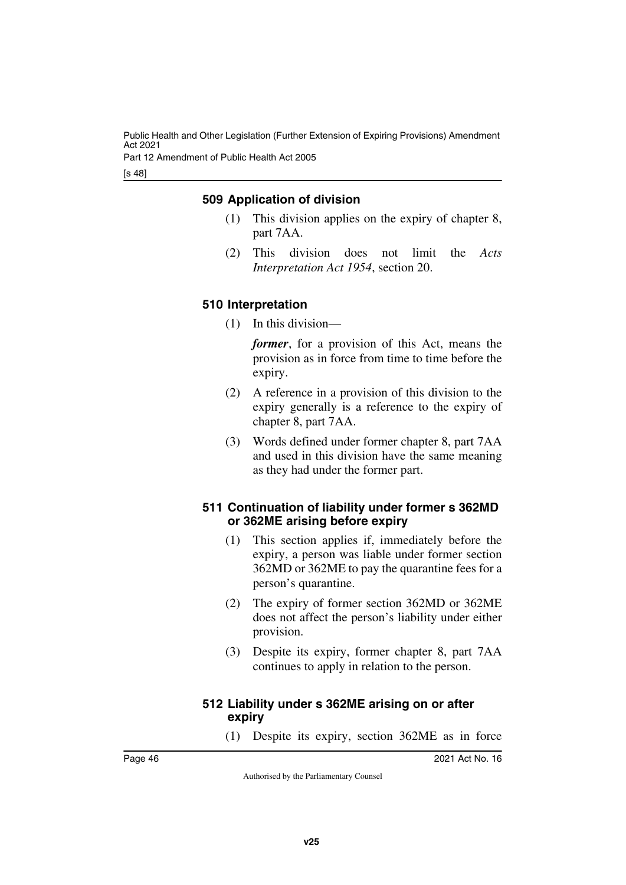Part 12 Amendment of Public Health Act 2005

[s 48]

#### <span id="page-47-1"></span><span id="page-47-0"></span>**509 Application of division**

- (1) This division applies on the expiry of chapter 8, part 7AA.
- (2) This division does not limit the *Acts Interpretation Act 1954*, section 20.

#### <span id="page-47-3"></span><span id="page-47-2"></span>**510 Interpretation**

(1) In this division—

*former*, for a provision of this Act, means the provision as in force from time to time before the expiry.

- (2) A reference in a provision of this division to the expiry generally is a reference to the expiry of chapter 8, part 7AA.
- (3) Words defined under former chapter 8, part 7AA and used in this division have the same meaning as they had under the former part.

#### <span id="page-47-5"></span><span id="page-47-4"></span>**511 Continuation of liability under former s 362MD or 362ME arising before expiry**

- (1) This section applies if, immediately before the expiry, a person was liable under former section 362MD or 362ME to pay the quarantine fees for a person's quarantine.
- (2) The expiry of former section 362MD or 362ME does not affect the person's liability under either provision.
- (3) Despite its expiry, former chapter 8, part 7AA continues to apply in relation to the person.

#### <span id="page-47-7"></span><span id="page-47-6"></span>**512 Liability under s 362ME arising on or after expiry**

(1) Despite its expiry, section 362ME as in force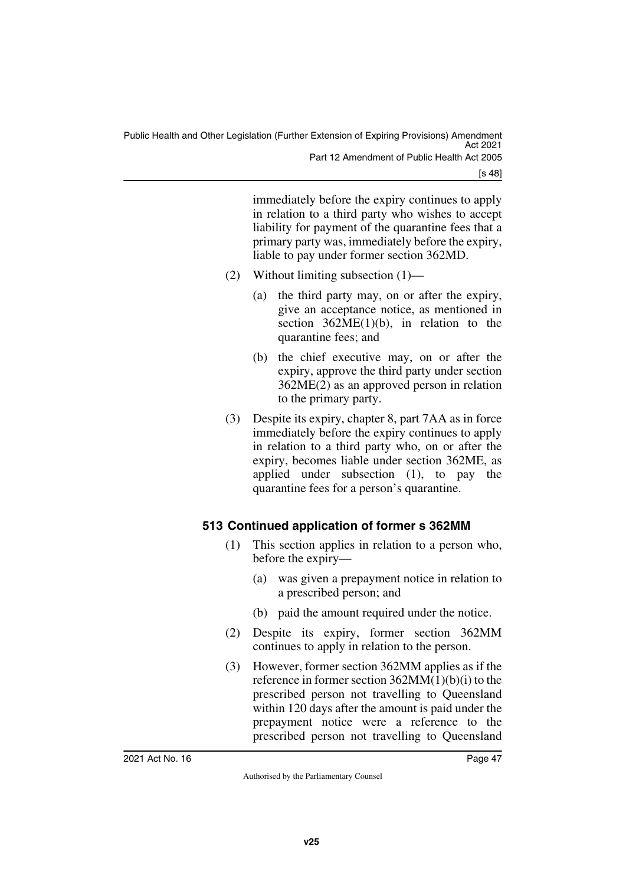[s 48]

immediately before the expiry continues to apply in relation to a third party who wishes to accept liability for payment of the quarantine fees that a primary party was, immediately before the expiry, liable to pay under former section 362MD.

- (2) Without limiting subsection (1)—
	- (a) the third party may, on or after the expiry, give an acceptance notice, as mentioned in section  $362ME(1)(b)$ , in relation to the quarantine fees; and
	- (b) the chief executive may, on or after the expiry, approve the third party under section 362ME(2) as an approved person in relation to the primary party.
- (3) Despite its expiry, chapter 8, part 7AA as in force immediately before the expiry continues to apply in relation to a third party who, on or after the expiry, becomes liable under section 362ME, as applied under subsection (1), to pay the quarantine fees for a person's quarantine.

### <span id="page-48-1"></span><span id="page-48-0"></span>**513 Continued application of former s 362MM**

- (1) This section applies in relation to a person who, before the expiry—
	- (a) was given a prepayment notice in relation to a prescribed person; and
	- (b) paid the amount required under the notice.
- (2) Despite its expiry, former section 362MM continues to apply in relation to the person.
- (3) However, former section 362MM applies as if the reference in former section 362MM(1)(b)(i) to the prescribed person not travelling to Queensland within 120 days after the amount is paid under the prepayment notice were a reference to the prescribed person not travelling to Queensland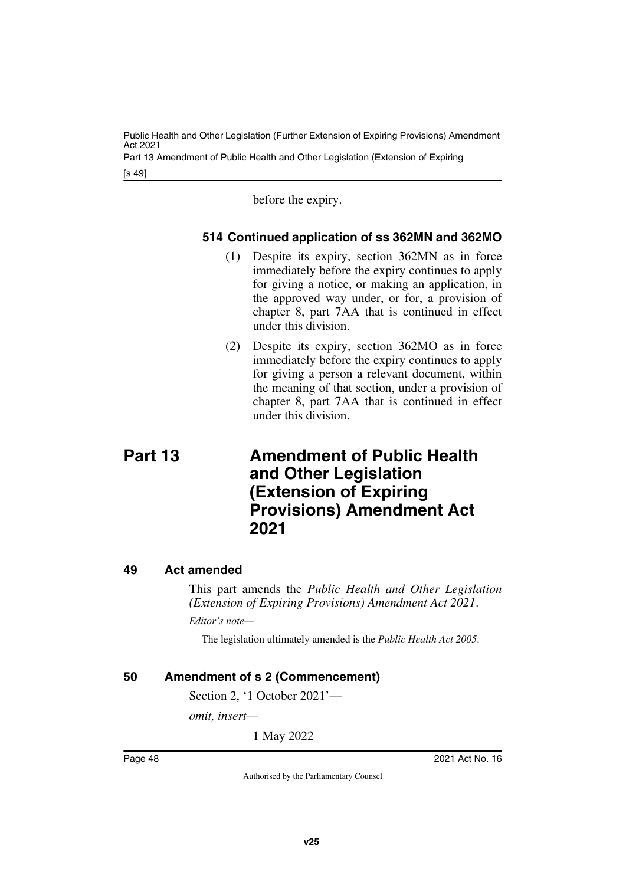Part 13 Amendment of Public Health and Other Legislation (Extension of Expiring

[s 49]

before the expiry.

#### <span id="page-49-1"></span><span id="page-49-0"></span>**514 Continued application of ss 362MN and 362MO**

- (1) Despite its expiry, section 362MN as in force immediately before the expiry continues to apply for giving a notice, or making an application, in the approved way under, or for, a provision of chapter 8, part 7AA that is continued in effect under this division.
- <span id="page-49-3"></span>(2) Despite its expiry, section 362MO as in force immediately before the expiry continues to apply for giving a person a relevant document, within the meaning of that section, under a provision of chapter 8, part 7AA that is continued in effect under this division.
- <span id="page-49-2"></span>**Part 13 Amendment of Public Health and Other Legislation (Extension of Expiring Provisions) Amendment Act 2021**

#### <span id="page-49-4"></span>**49 Act amended**

<span id="page-49-5"></span>This part amends the *Public Health and Other Legislation (Extension of Expiring Provisions) Amendment Act 2021*.

*Editor's note—*

The legislation ultimately amended is the *Public Health Act 2005*.

#### <span id="page-49-6"></span>**50 Amendment of s 2 (Commencement)**

<span id="page-49-7"></span>Section 2, '1 October 2021'—

*omit, insert—*

1 May 2022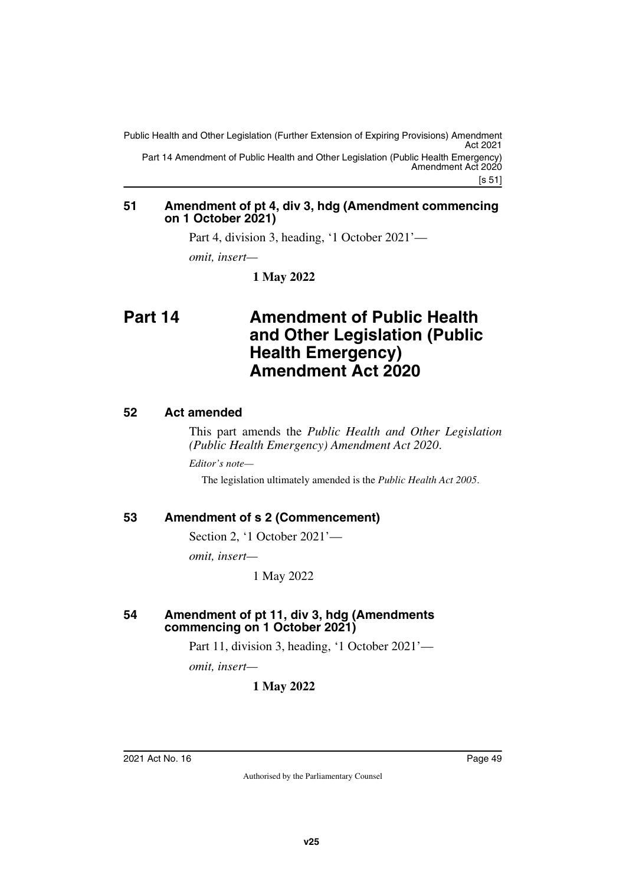[s 51] Public Health and Other Legislation (Further Extension of Expiring Provisions) Amendment Act 2021 Part 14 Amendment of Public Health and Other Legislation (Public Health Emergency) Amendment Act 2020

#### <span id="page-50-1"></span><span id="page-50-0"></span>**51 Amendment of pt 4, div 3, hdg (Amendment commencing on 1 October 2021)**

Part 4, division 3, heading, '1 October 2021'—

*omit, insert—*

<span id="page-50-3"></span>**1 May 2022**

## <span id="page-50-2"></span>**Part 14 Amendment of Public Health and Other Legislation (Public Health Emergency) Amendment Act 2020**

#### <span id="page-50-4"></span>**52 Act amended**

<span id="page-50-5"></span>This part amends the *Public Health and Other Legislation (Public Health Emergency) Amendment Act 2020*.

*Editor's note—*

The legislation ultimately amended is the *Public Health Act 2005*.

#### <span id="page-50-6"></span>**53 Amendment of s 2 (Commencement)**

<span id="page-50-7"></span>Section 2, '1 October 2021'—

*omit, insert—*

1 May 2022

#### <span id="page-50-9"></span><span id="page-50-8"></span>**54 Amendment of pt 11, div 3, hdg (Amendments commencing on 1 October 2021)**

Part 11, division 3, heading, '1 October 2021'—

*omit, insert—*

#### **1 May 2022**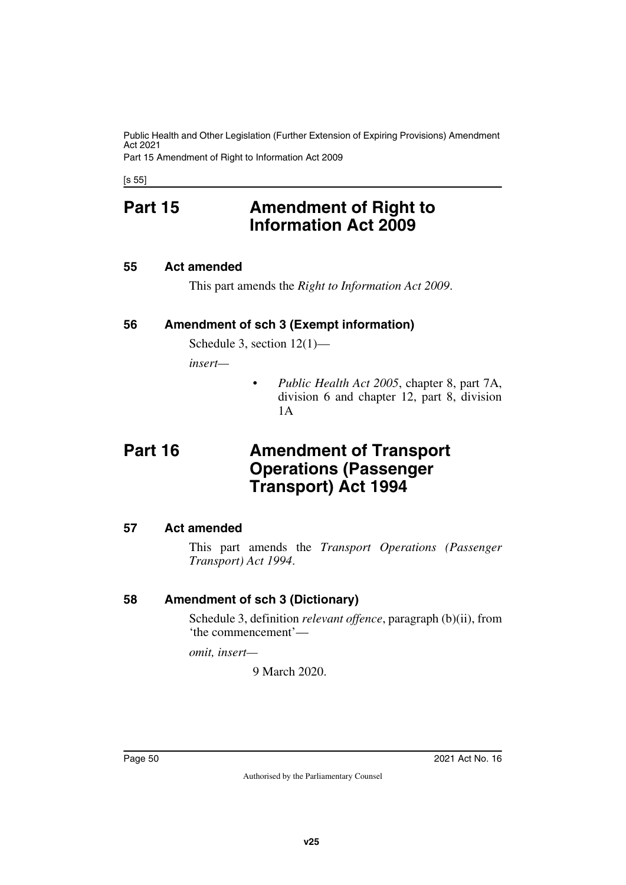Public Health and Other Legislation (Further Extension of Expiring Provisions) Amendment Act 2021 Part 15 Amendment of Right to Information Act 2009

<span id="page-51-0"></span>[s 55]

## **Part 15 Amendment of Right to Information Act 2009**

#### <span id="page-51-2"></span>**55 Act amended**

<span id="page-51-5"></span><span id="page-51-3"></span><span id="page-51-1"></span>This part amends the *Right to Information Act 2009*.

#### <span id="page-51-4"></span>**56 Amendment of sch 3 (Exempt information)**

Schedule 3, section 12(1)—

*insert—*

<span id="page-51-7"></span>• *Public Health Act 2005*, chapter 8, part 7A, division 6 and chapter 12, part 8, division 1A

## <span id="page-51-6"></span>**Part 16 Amendment of Transport Operations (Passenger Transport) Act 1994**

#### <span id="page-51-8"></span>**57 Act amended**

<span id="page-51-9"></span>This part amends the *Transport Operations (Passenger Transport) Act 1994*.

#### <span id="page-51-10"></span>**58 Amendment of sch 3 (Dictionary)**

<span id="page-51-11"></span>Schedule 3, definition *relevant offence*, paragraph (b)(ii), from 'the commencement'—

*omit, insert—*

9 March 2020.